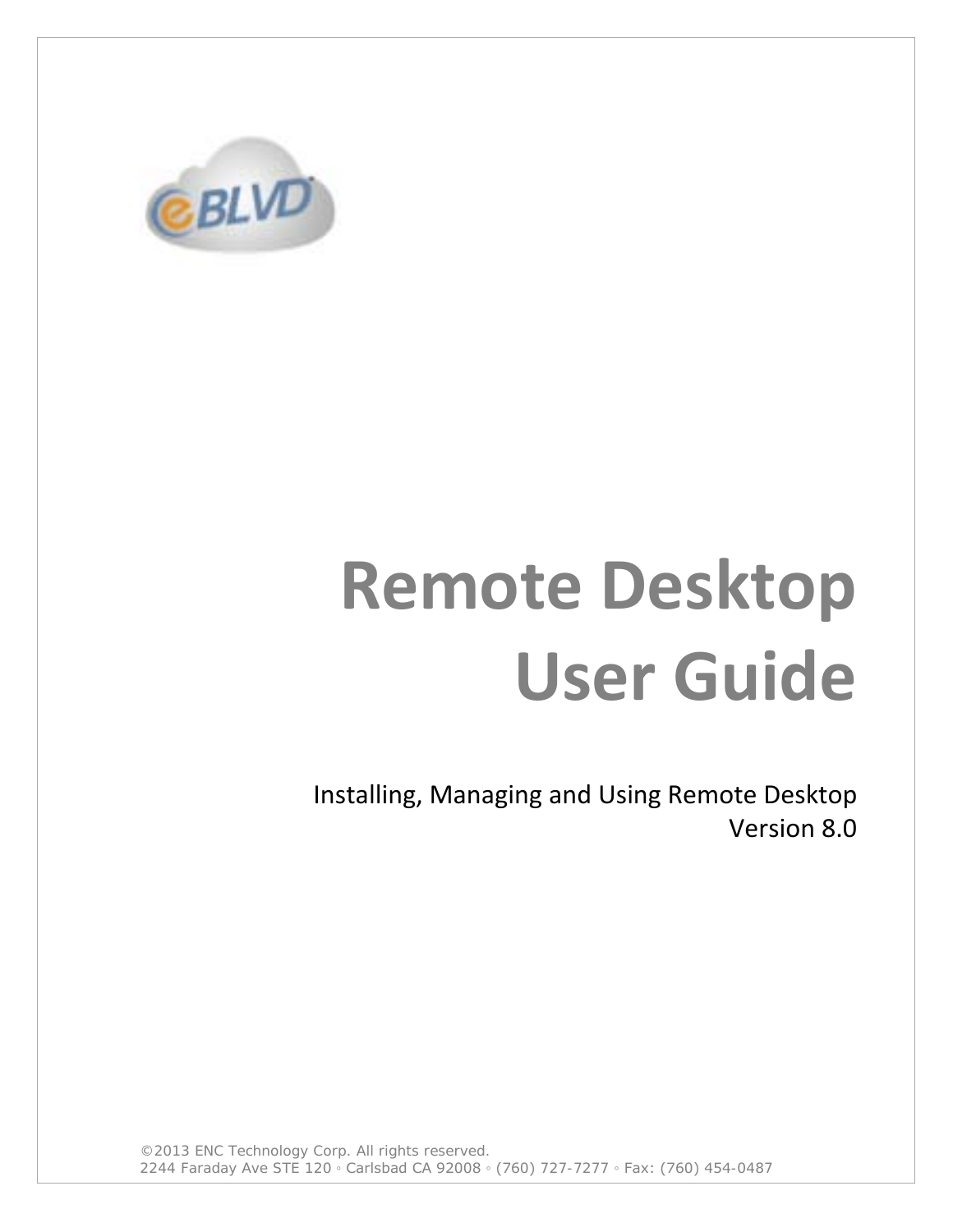

# **Remote Desktop User Guide**

Installing, Managing and Using Remote Desktop Version 8.0

©2013 ENC Technology Corp. All rights reserved. 2244 Faraday Ave STE 120 ◦ Carlsbad CA 92008 ◦ (760) 727-7277 ◦ Fax: (760) 454-0487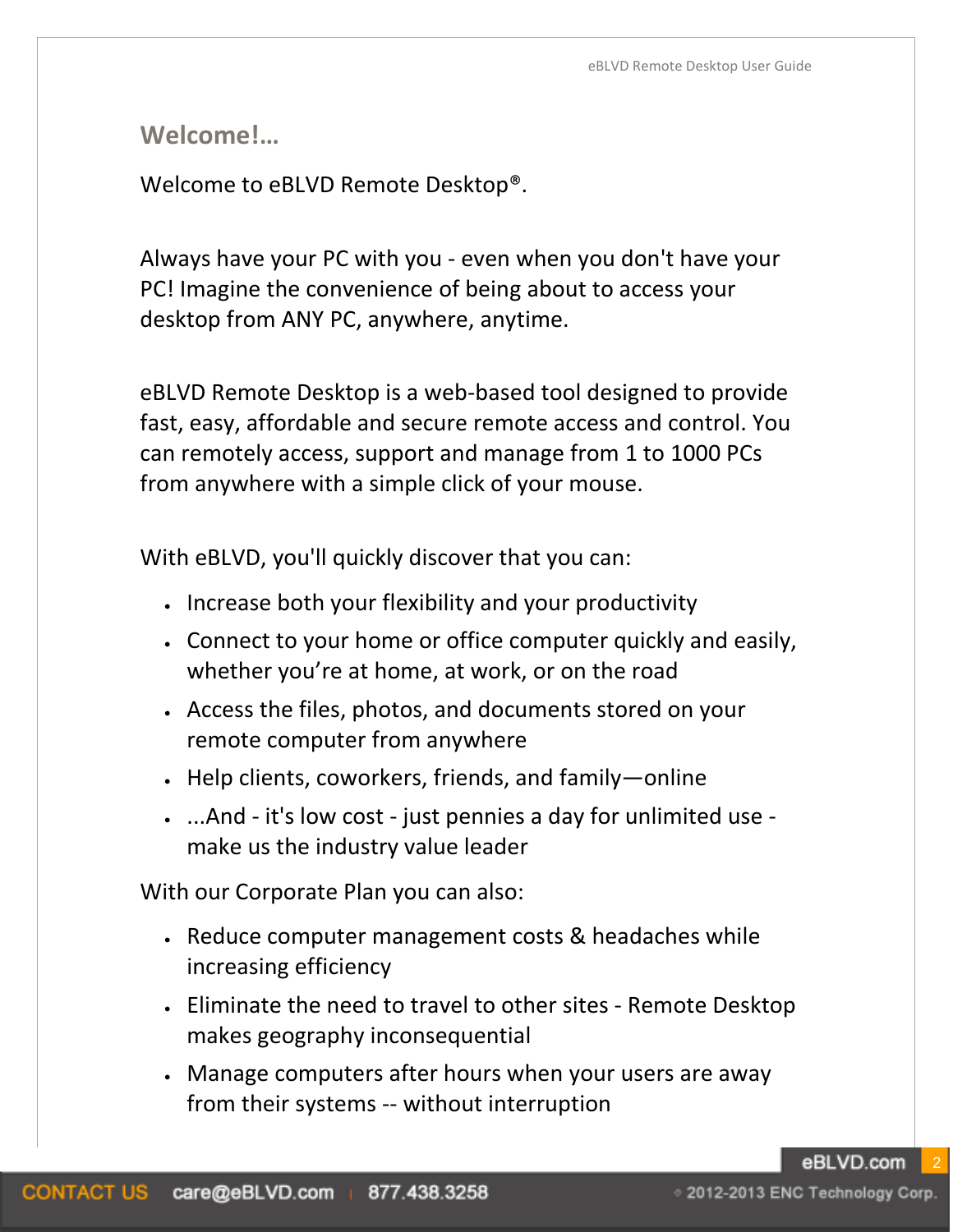**Welcome!…**

Welcome to eBLVD Remote Desktop®.

Always have your PC with you - even when you don't have your PC! Imagine the convenience of being about to access your desktop from ANY PC, anywhere, anytime.

eBLVD Remote Desktop is a web-based tool designed to provide fast, easy, affordable and secure remote access and control. You can remotely access, support and manage from 1 to 1000 PCs from anywhere with a simple click of your mouse.

With eBLVD, you'll quickly discover that you can:

- Increase both your flexibility and your productivity
- Connect to your home or office computer quickly and easily, whether you're at home, at work, or on the road
- Access the files, photos, and documents stored on your remote computer from anywhere
- Help clients, coworkers, friends, and family—online
- ...And it's low cost just pennies a day for unlimited use make us the industry value leader

With our Corporate Plan you can also:

- Reduce computer management costs & headaches while increasing efficiency
- Eliminate the need to travel to other sites Remote Desktop makes geography inconsequential
- Manage computers after hours when your users are away from their systems -- without interruption

eBLVD.com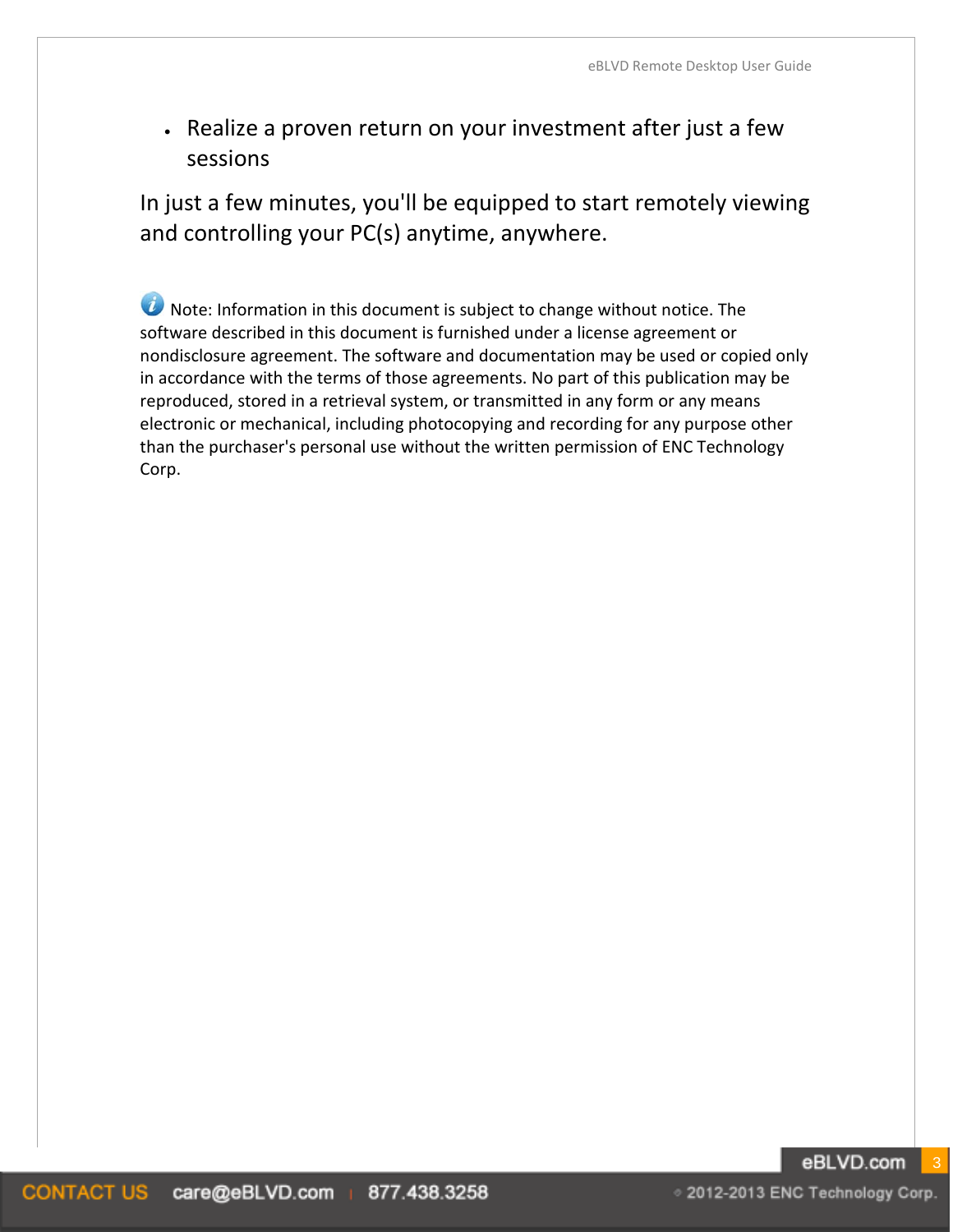• Realize a proven return on your investment after just a few sessions

In just a few minutes, you'll be equipped to start remotely viewing and controlling your PC(s) anytime, anywhere.

**U** Note: Information in this document is subject to change without notice. The software described in this document is furnished under a license agreement or nondisclosure agreement. The software and documentation may be used or copied only in accordance with the terms of those agreements. No part of this publication may be reproduced, stored in a retrieval system, or transmitted in any form or any means electronic or mechanical, including photocopying and recording for any purpose other than the purchaser's personal use without the written permission of ENC Technology Corp.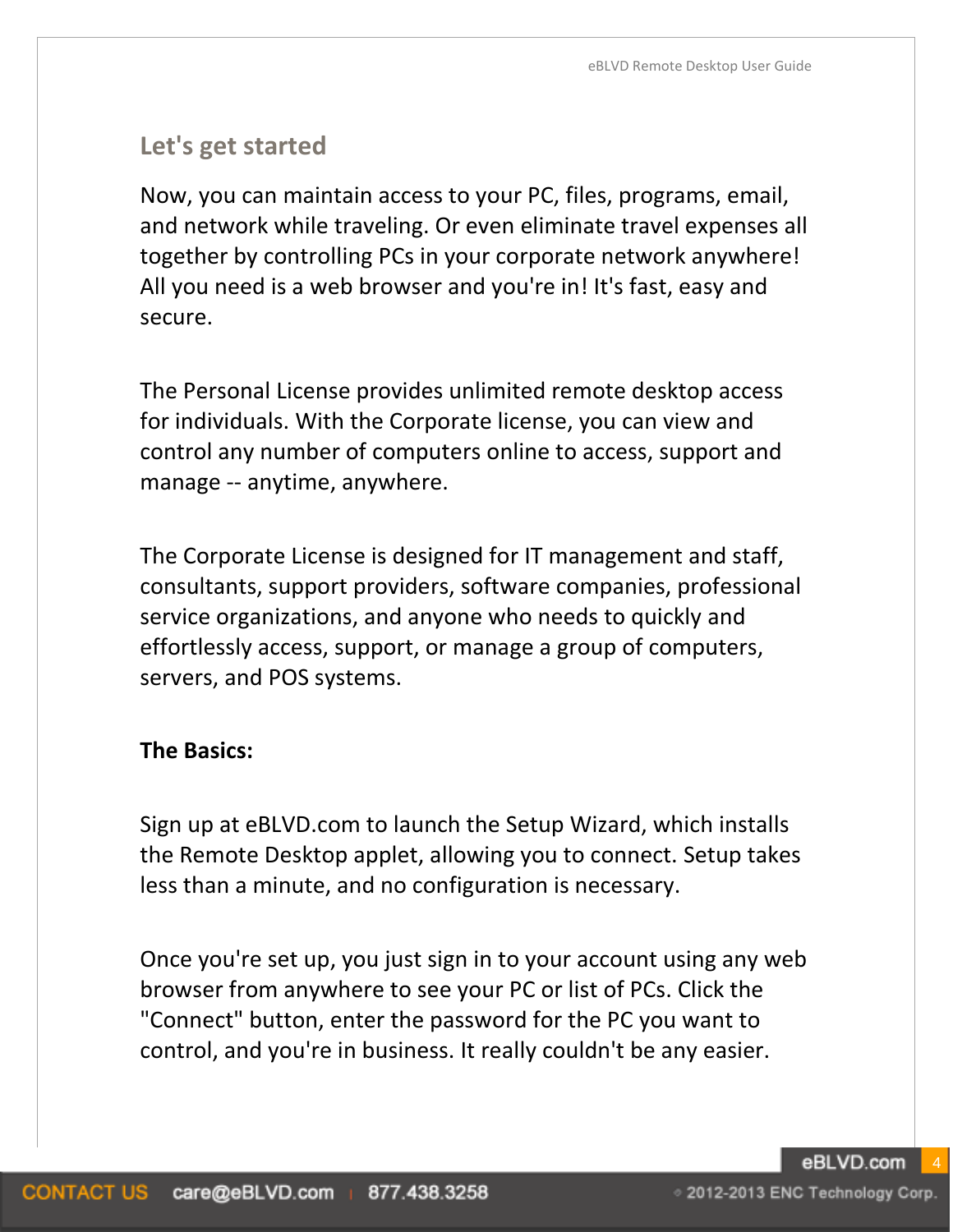# **Let's get started**

Now, you can maintain access to your PC, files, programs, email, and network while traveling. Or even eliminate travel expenses all together by controlling PCs in your corporate network anywhere! All you need is a web browser and you're in! It's fast, easy and secure.

The Personal License provides unlimited remote desktop access for individuals. With the Corporate license, you can view and control any number of computers online to access, support and manage -- anytime, anywhere.

The Corporate License is designed for IT management and staff, consultants, support providers, software companies, professional service organizations, and anyone who needs to quickly and effortlessly access, support, or manage a group of computers, servers, and POS systems.

#### **The Basics:**

Sign up at eBLVD.com to launch the Setup Wizard, which installs the Remote Desktop applet, allowing you to connect. Setup takes less than a minute, and no configuration is necessary.

Once you're set up, you just sign in to your account using any web browser from anywhere to see your PC or list of PCs. Click the "Connect" button, enter the password for the PC you want to control, and you're in business. It really couldn't be any easier.

eBLVD.com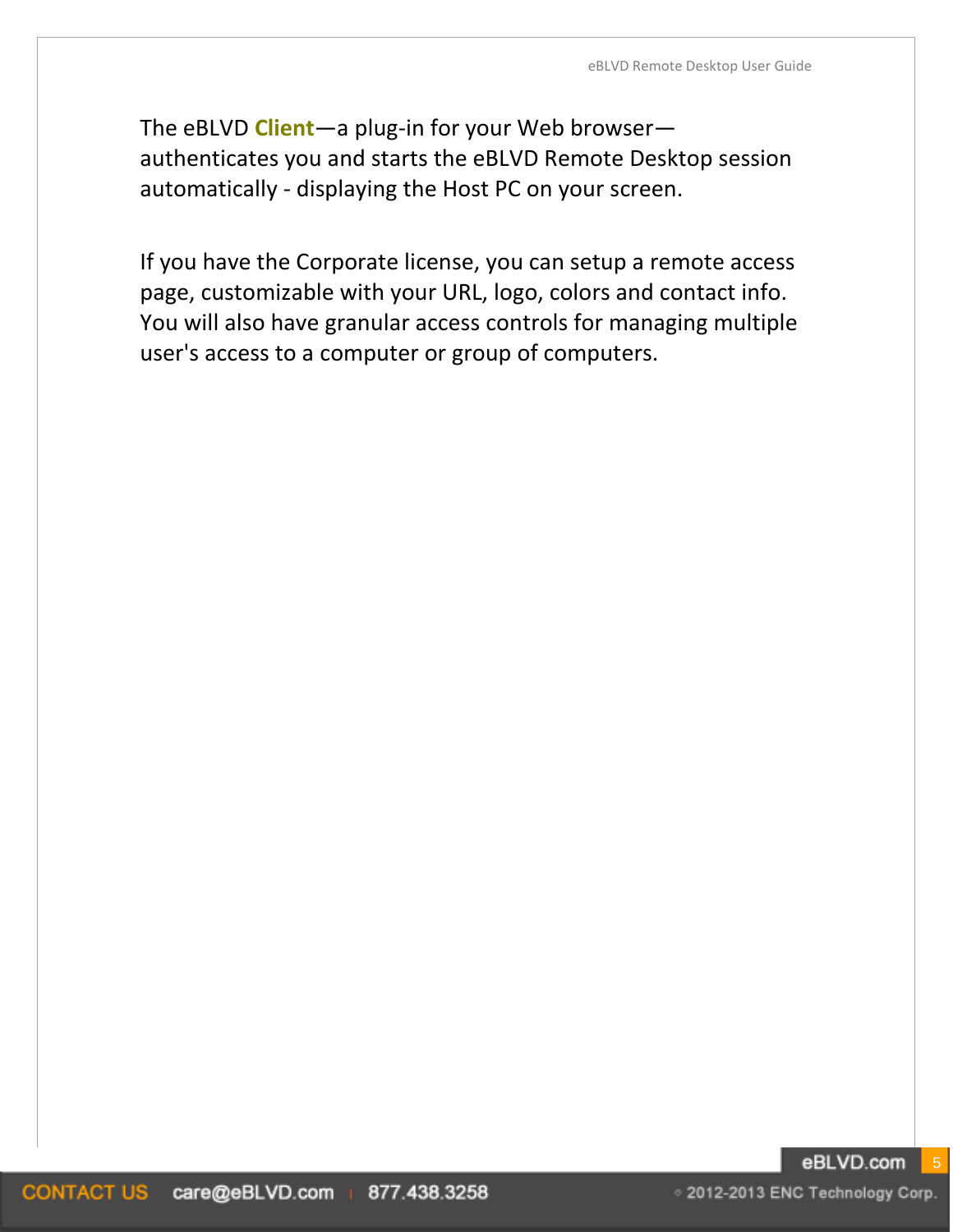The eBLVD **Client**—a plug-in for your Web browser authenticates you and starts the eBLVD Remote Desktop session automatically - displaying the Host PC on your screen.

If you have the Corporate license, you can setup a remote access page, customizable with your URL, logo, colors and contact info. You will also have granular access controls for managing multiple user's access to a computer or group of computers.

○ 2012-2013 ENC Technology Corp.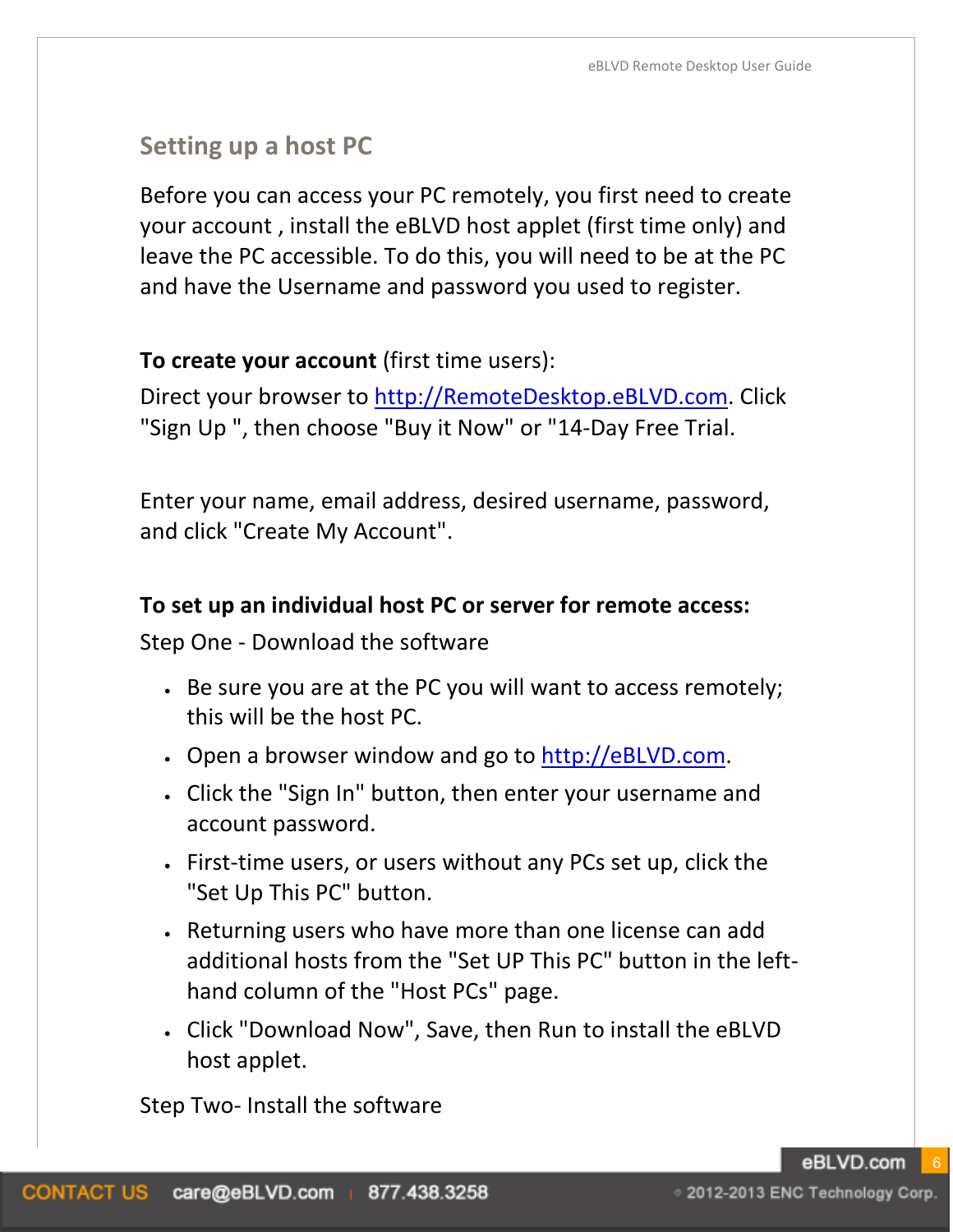# **Setting up a host PC**

Before you can access your PC remotely, you first need to create your account , install the eBLVD host applet (first time only) and leave the PC accessible. To do this, you will need to be at the PC and have the Username and password you used to register.

#### **To create your account** (first time users):

Direct your browser to [http://RemoteDesktop.eBLVD.com.](http://remotedesktop.eblvd.com/) Click "Sign Up ", then choose "Buy it Now" or "14-Day Free Trial.

Enter your name, email address, desired username, password, and click "Create My Account".

#### **To set up an individual host PC or server for remote access:**

Step One - Download the software

- Be sure you are at the PC you will want to access remotely; this will be the host PC.
- Open a browser window and go to [http://eBLVD.com.](http://www.eblvd.com/)
- Click the "Sign In" button, then enter your username and account password.
- First-time users, or users without any PCs set up, click the "Set Up This PC" button.
- Returning users who have more than one license can add additional hosts from the "Set UP This PC" button in the lefthand column of the "Host PCs" page.
- Click "Download Now", Save, then Run to install the eBLVD host applet.

Step Two- Install the software

eBLVD.com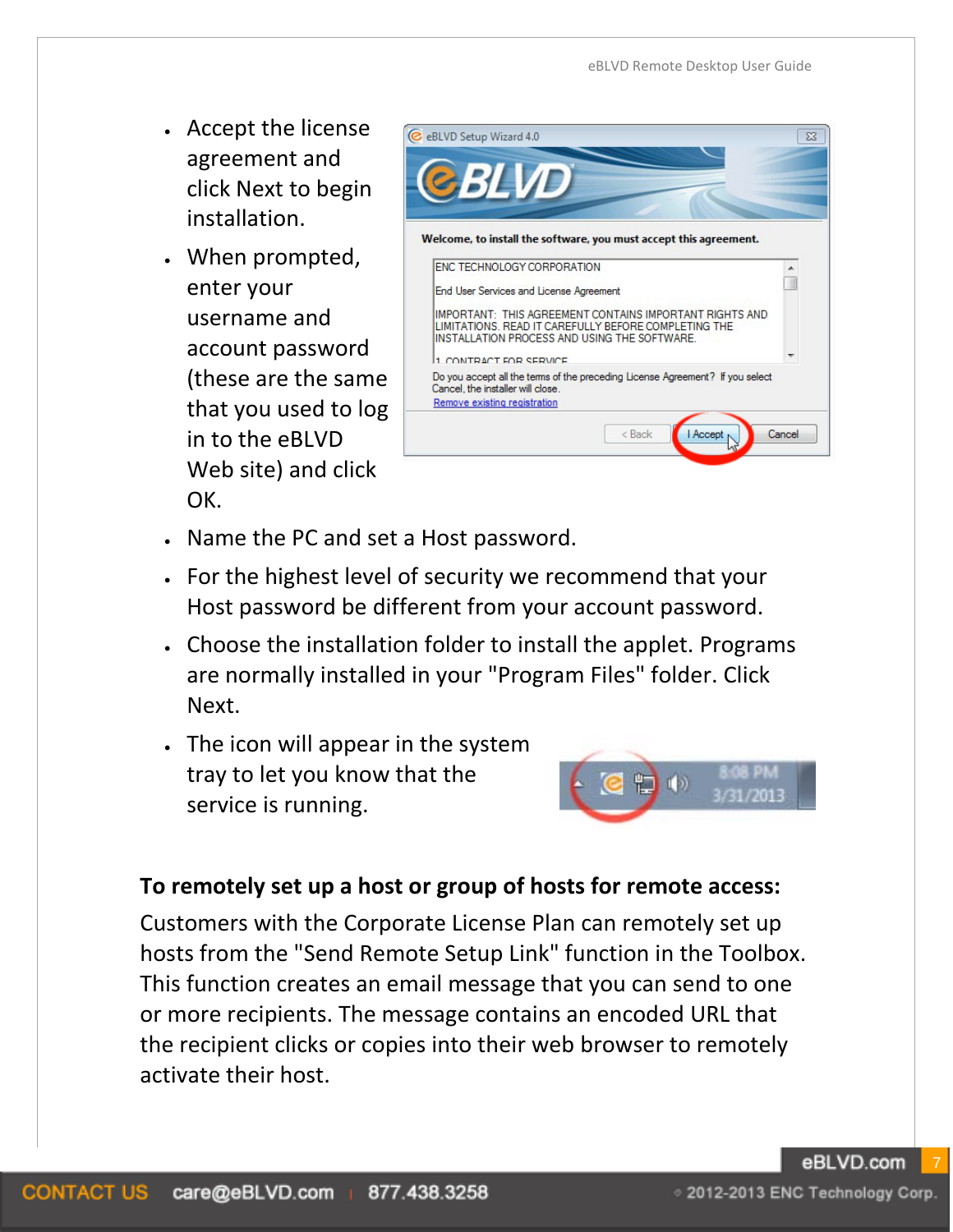- Accept the license agreement and click Next to begin installation.
- When prompted, enter your username and account password (these are the same that you used to log in to the eBLVD Web site) and click OK.

| <b>C</b> eBLVD Setup Wizard 4.0                                                                                                                                 |        |
|-----------------------------------------------------------------------------------------------------------------------------------------------------------------|--------|
| <b>BILVD</b>                                                                                                                                                    |        |
|                                                                                                                                                                 |        |
| Welcome, to install the software, you must accept this agreement.                                                                                               |        |
| ENC TECHNOLOGY CORPORATION                                                                                                                                      |        |
| End User Services and License Agreement                                                                                                                         |        |
| IMPORTANT: THIS AGREEMENT CONTAINS IMPORTANT RIGHTS AND<br>LIMITATIONS. READ IT CAREFULLY BEFORE COMPLETING THE<br>INSTALLATION PROCESS AND USING THE SOFTWARE. |        |
| 1 CONTRACT END CERVICE                                                                                                                                          |        |
| Do you accept all the terms of the preceding License Agreement? If you select<br>Cancel, the installer will close.<br>Remove existing registration              |        |
| <b>Accept</b><br>< Back                                                                                                                                         | Cancel |
|                                                                                                                                                                 |        |

- Name the PC and set a Host password.
- For the highest level of security we recommend that your Host password be different from your account password.
- Choose the installation folder to install the applet. Programs are normally installed in your "Program Files" folder. Click Next.
- The icon will appear in the system tray to let you know that the service is running.



#### **To remotely set up a host or group of hosts for remote access:**

Customers with the Corporate License Plan can remotely set up hosts from the "Send Remote Setup Link" function in the Toolbox. This function creates an email message that you can send to one or more recipients. The message contains an encoded URL that the recipient clicks or copies into their web browser to remotely activate their host.

eBLVD.com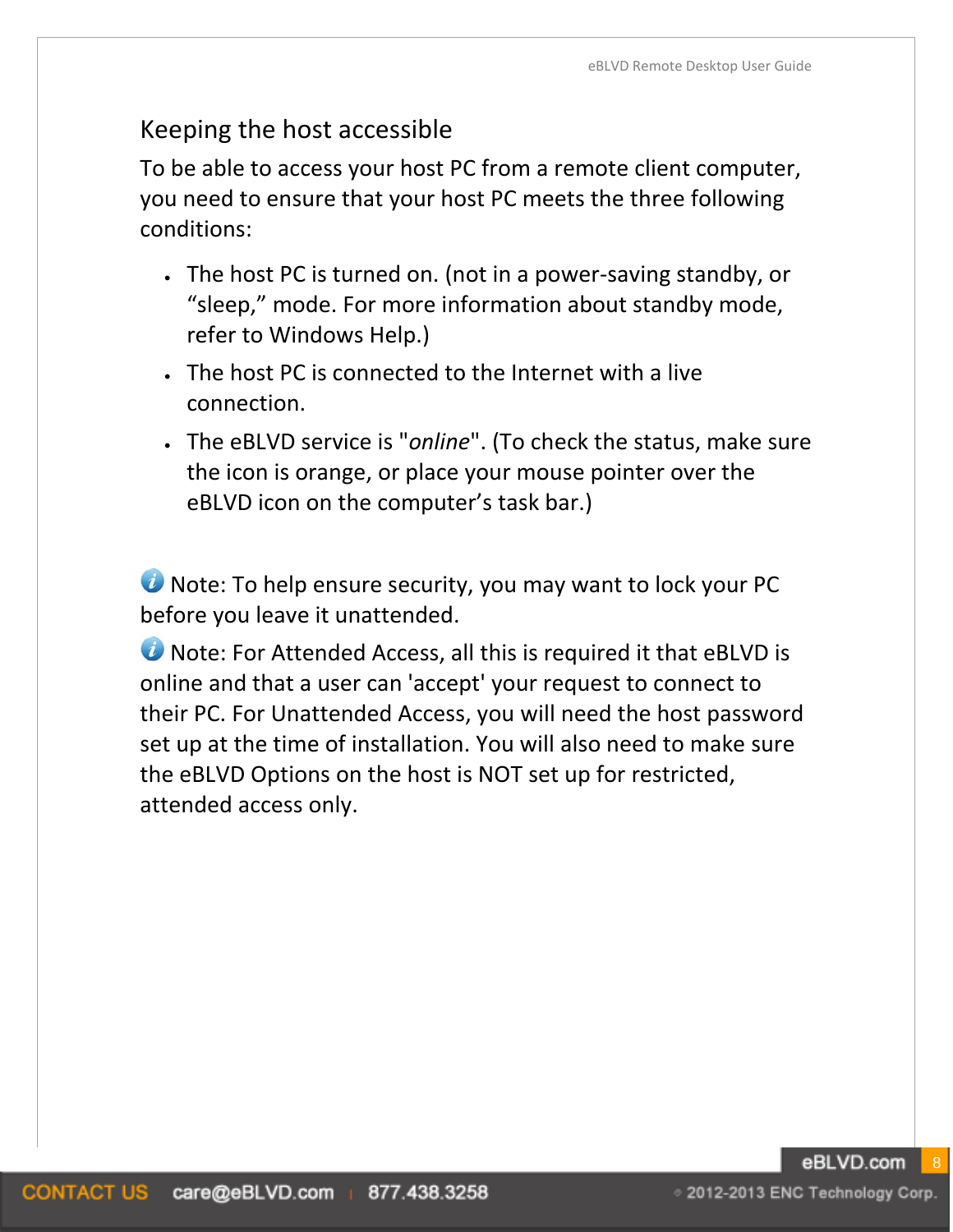# Keeping the host accessible

To be able to access your host PC from a remote client computer, you need to ensure that your host PC meets the three following conditions:

- The host PC is turned on. (not in a power-saving standby, or "sleep," mode. For more information about standby mode, refer to Windows Help.)
- The host PC is connected to the Internet with a live connection.
- The eBLVD service is "*online*". (To check the status, make sure the icon is orange, or place your mouse pointer over the eBLVD icon on the computer's task bar.)

**U** Note: To help ensure security, you may want to lock your PC before you leave it unattended.

**U** Note: For Attended Access, all this is required it that eBLVD is online and that a user can 'accept' your request to connect to their PC. For Unattended Access, you will need the host password set up at the time of installation. You will also need to make sure the eBLVD Options on the host is NOT set up for restricted, attended access only.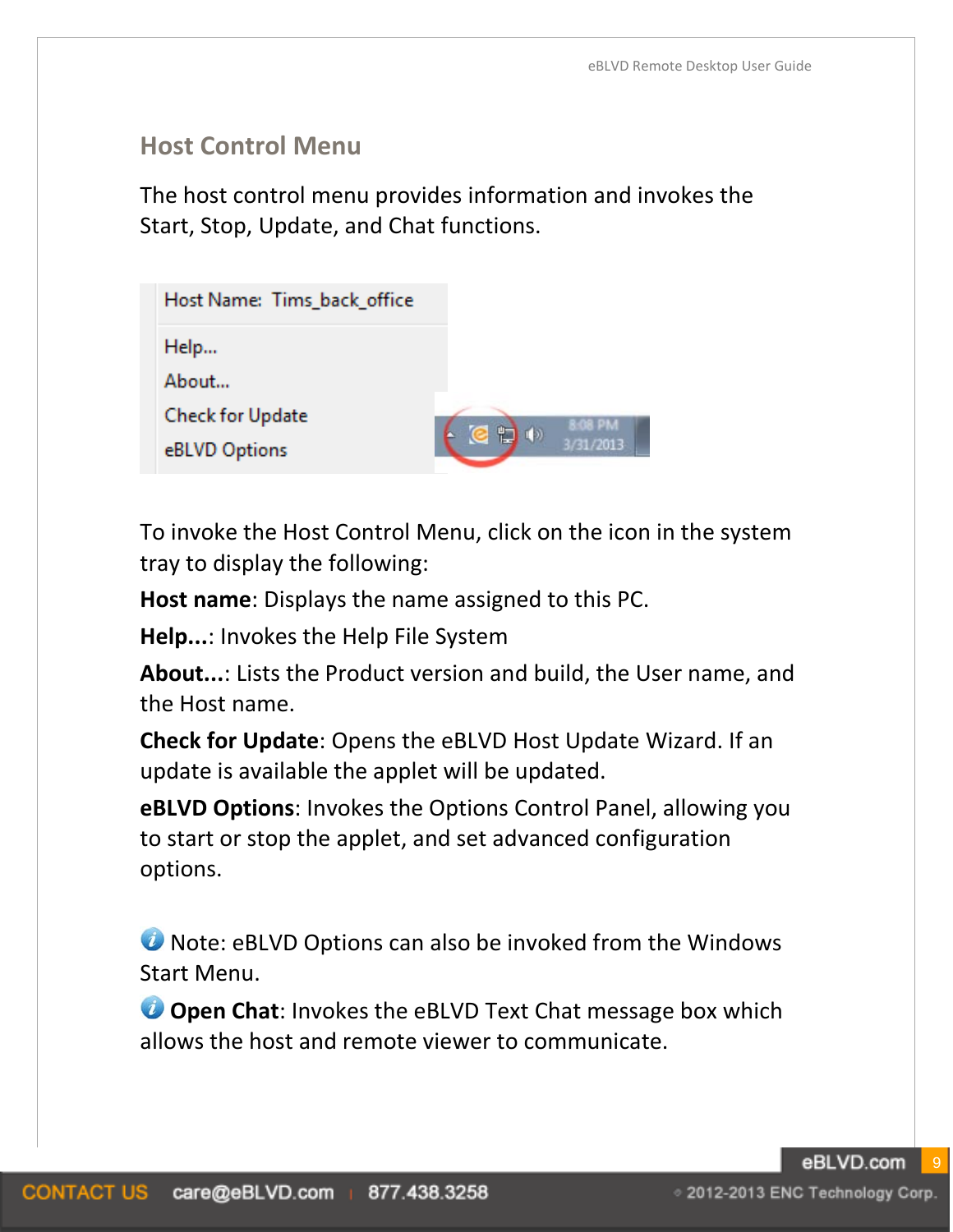## **Host Control Menu**

The host control menu provides information and invokes the Start, Stop, Update, and Chat functions.

| Host Name: Tims_back_office |                      |              |
|-----------------------------|----------------------|--------------|
| Help                        |                      |              |
| About                       |                      |              |
| Check for Update            |                      | <b>GR PM</b> |
| eBLVD Options               | 恺<br>(1)<br><b>G</b> | 3/31/2013    |

To invoke the Host Control Menu, click on the icon in the system tray to display the following:

**Host name**: Displays the name assigned to this PC.

**Help...**: Invokes the Help File System

**About...**: Lists the Product version and build, the User name, and the Host name.

**Check for Update**: Opens the eBLVD Host Update Wizard. If an update is available the applet will be updated.

**eBLVD Options**: Invokes the Options Control Panel, allowing you to start or stop the applet, and set advanced configuration options.

**O** Note: eBLVD Options can also be invoked from the Windows Start Menu.

*O* Open Chat: Invokes the eBLVD Text Chat message box which allows the host and remote viewer to communicate.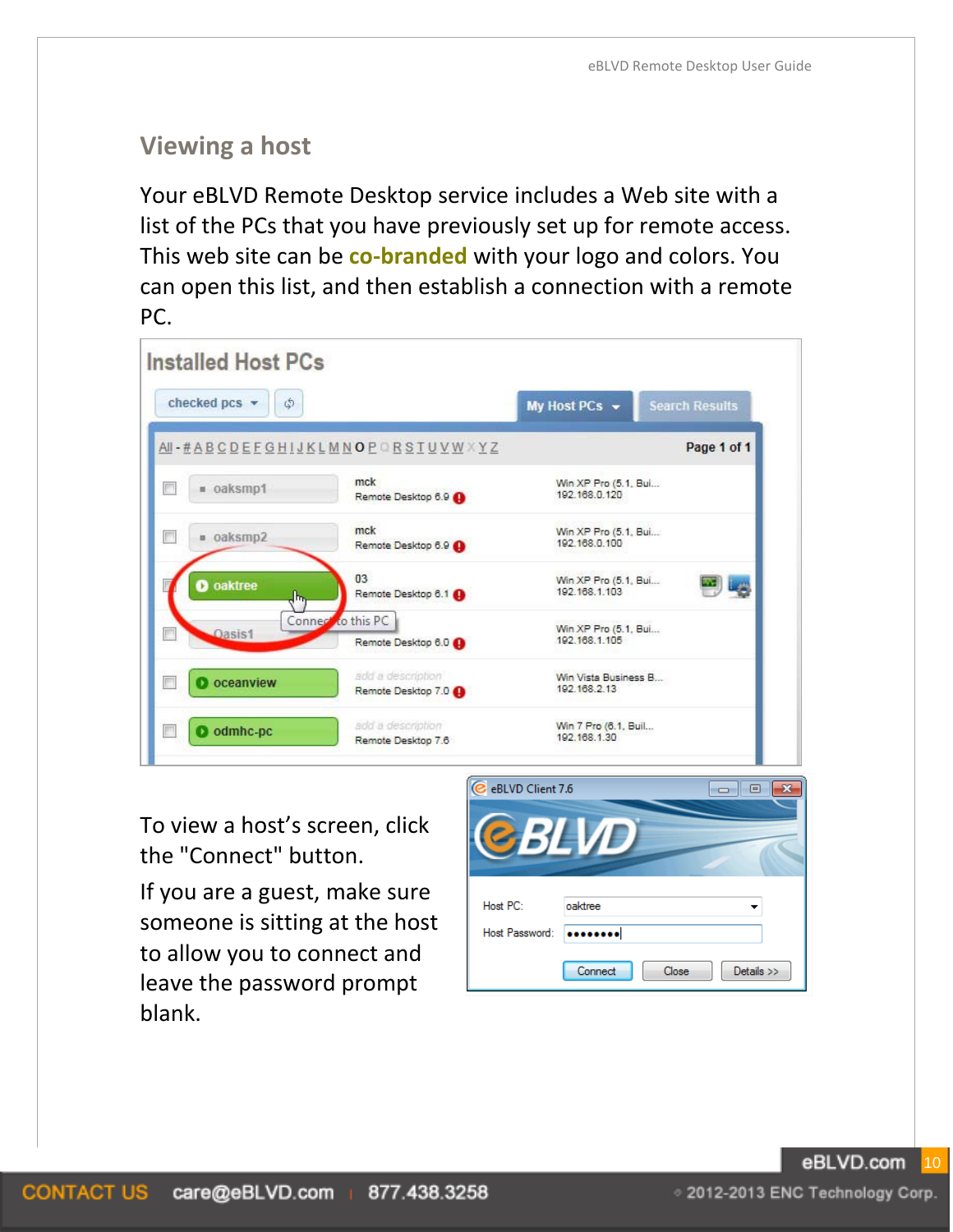# **Viewing a host**

Your eBLVD Remote Desktop service includes a Web site with a list of the PCs that you have previously set up for remote access. This web site can be **co-branded** with your logo and colors. You can open this list, and then establish a connection with a remote PC.

| <b>Installed Host PCs</b> |                                          |                                       |                       |
|---------------------------|------------------------------------------|---------------------------------------|-----------------------|
| checked pcs v<br>¢        |                                          | My Host PCs -                         | <b>Search Results</b> |
|                           | AI-#ABCDEFGHIJKLMNOPORSTUVWXYZ           |                                       | Page 1 of 1           |
| · oaksmp1                 | mck<br>Remote Desktop 6.9                | Win XP Pro (5.1, Bui<br>192.168.0.120 |                       |
| oaksmp2                   | mck<br>Remote Desktop 6.9                | Win XP Pro (5.1, Bui<br>192.168.0.100 |                       |
| oaktree<br>Ы<br>h.        | 0 <sup>3</sup><br>Remote Desktop 6.1     | Win XP Pro (5.1, Bui<br>192.168.1.103 |                       |
| Oasis1                    | Connect to this PC<br>Remote Desktop 6.0 | Win XP Pro (5.1, Bui<br>192.168.1.105 |                       |
| <b>D</b> oceanview        | add a description<br>Remote Desktop 7.0  | Win Vista Business B<br>192.168.2.13  |                       |
| odmhc-pc                  | add a description<br>Remote Desktop 7.6  | Win 7 Pro (6.1, Buil<br>192.168.1.30  |                       |

To view a host's screen, click the "Connect" button.

If you are a guest, make sure someone is sitting at the host to allow you to connect and leave the password prompt blank.



eBLVD.com 10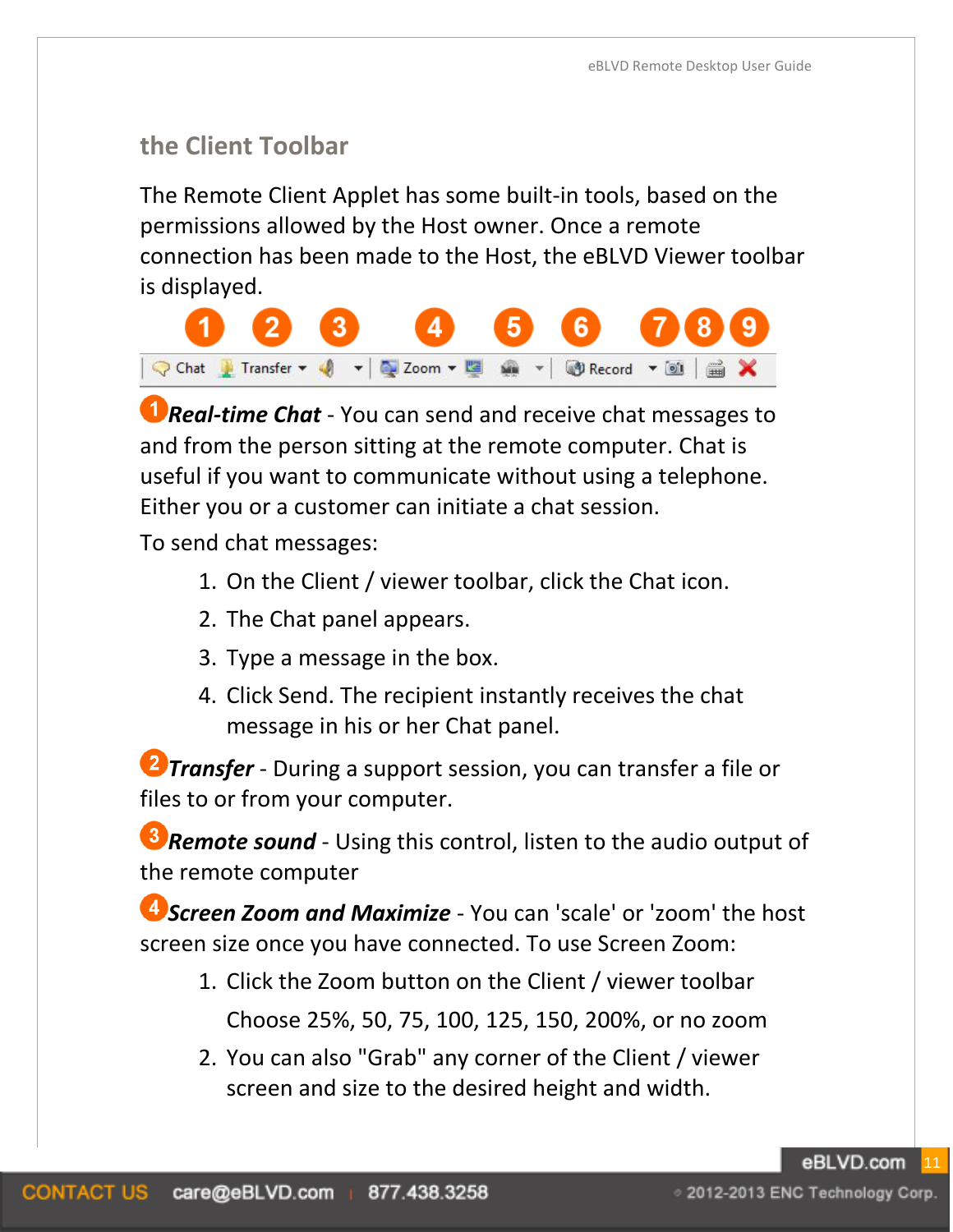# **the Client Toolbar**

The Remote Client Applet has some built-in tools, based on the permissions allowed by the Host owner. Once a remote connection has been made to the Host, the eBLVD Viewer toolbar is displayed.



*D* **Real-time Chat** - You can send and receive chat messages to and from the person sitting at the remote computer. Chat is useful if you want to communicate without using a telephone. Either you or a customer can initiate a chat session.

To send chat messages:

- 1. On the Client / viewer toolbar, click the Chat icon.
- 2. The Chat panel appears.
- 3. Type a message in the box.
- 4. Click Send. The recipient instantly receives the chat message in his or her Chat panel.

*Transfer* - During a support session, you can transfer a file or files to or from your computer.

*Remote sound* - Using this control, listen to the audio output of the remote computer

*Screen Zoom and Maximize* - You can 'scale' or 'zoom' the host screen size once you have connected. To use Screen Zoom:

- 1. Click the Zoom button on the Client / viewer toolbar Choose 25%, 50, 75, 100, 125, 150, 200%, or no zoom
- 2. You can also "Grab" any corner of the Client / viewer screen and size to the desired height and width.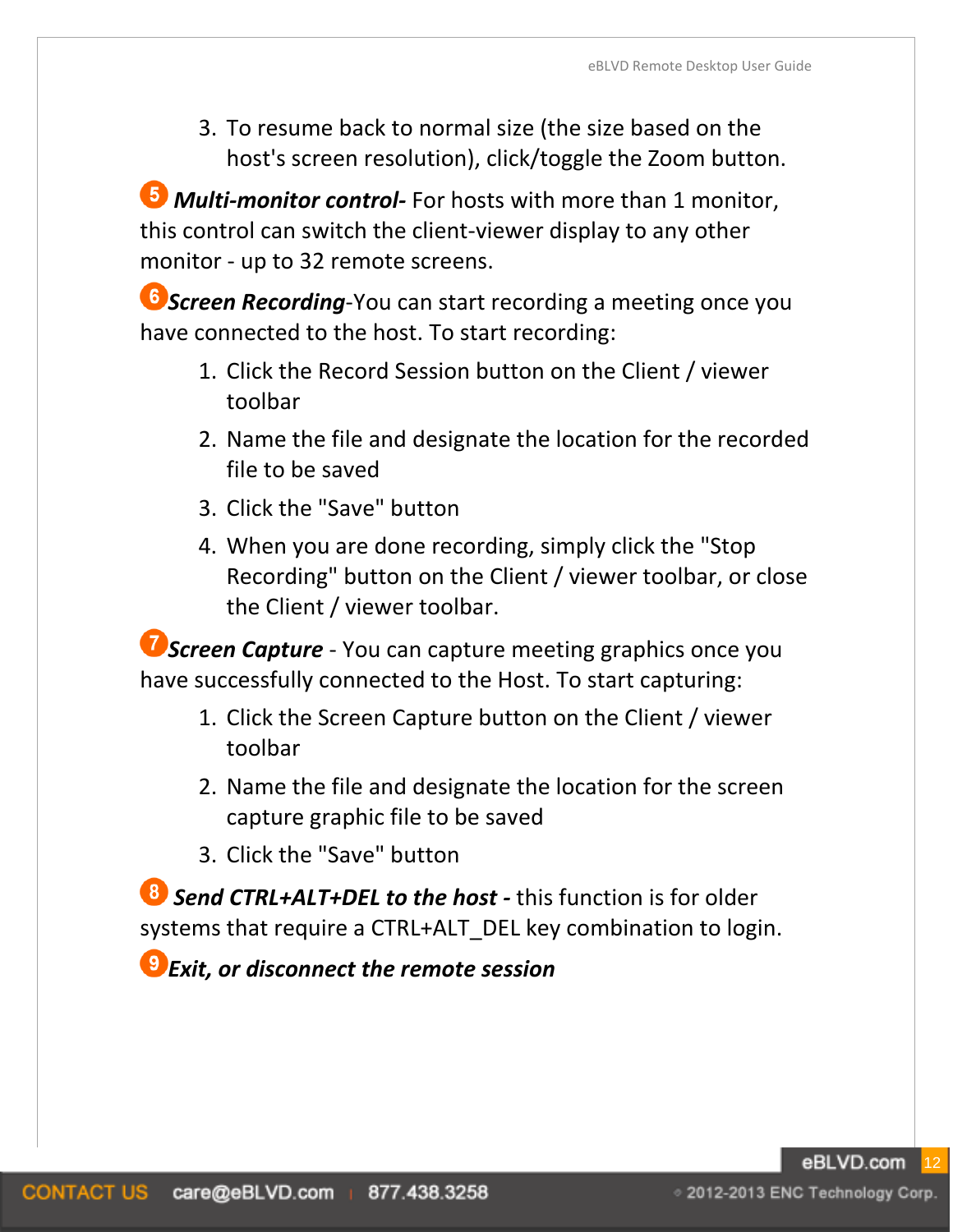3. To resume back to normal size (the size based on the host's screen resolution), click/toggle the Zoom button.

*Multi-monitor control-* For hosts with more than 1 monitor, this control can switch the client-viewer display to any other monitor - up to 32 remote screens.

*Screen Recording*-You can start recording a meeting once you have connected to the host. To start recording:

- 1. Click the Record Session button on the Client / viewer toolbar
- 2. Name the file and designate the location for the recorded file to be saved
- 3. Click the "Save" button
- 4. When you are done recording, simply click the "Stop Recording" button on the Client / viewer toolbar, or close the Client / viewer toolbar.

**Screen Capture** - You can capture meeting graphics once you have successfully connected to the Host. To start capturing:

- 1. Click the Screen Capture button on the Client / viewer toolbar
- 2. Name the file and designate the location for the screen capture graphic file to be saved
- 3. Click the "Save" button

**8** Send CTRL+ALT+DEL to the host - this function is for older systems that require a CTRL+ALT DEL key combination to login.

*Exit, or disconnect the remote session*

⊙ 2012-2013 ENC Technology Corp.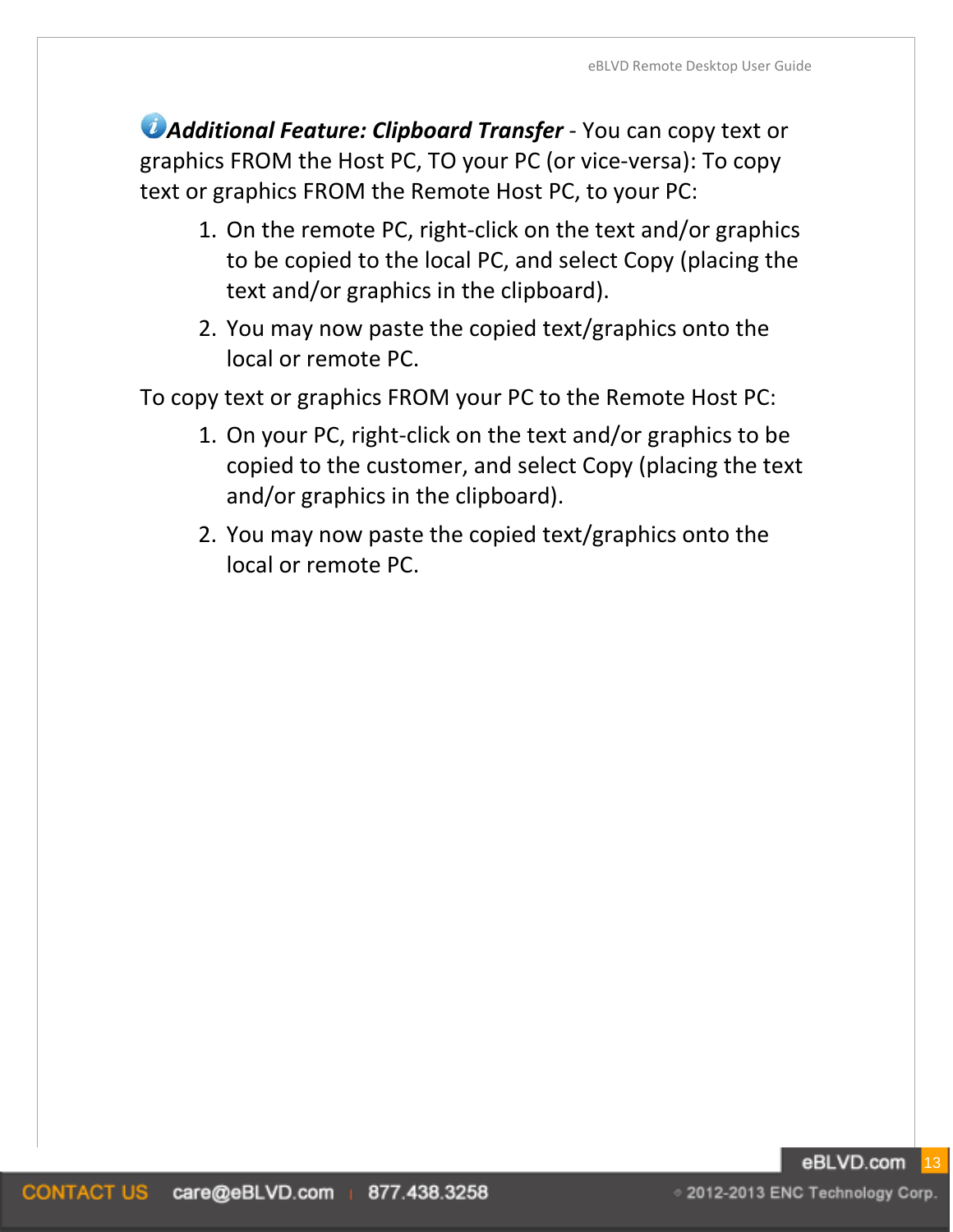*Additional Feature: Clipboard Transfer* - You can copy text or graphics FROM the Host PC, TO your PC (or vice-versa): To copy text or graphics FROM the Remote Host PC, to your PC:

- 1. On the remote PC, right-click on the text and/or graphics to be copied to the local PC, and select Copy (placing the text and/or graphics in the clipboard).
- 2. You may now paste the copied text/graphics onto the local or remote PC.

To copy text or graphics FROM your PC to the Remote Host PC:

- 1. On your PC, right-click on the text and/or graphics to be copied to the customer, and select Copy (placing the text and/or graphics in the clipboard).
- 2. You may now paste the copied text/graphics onto the local or remote PC.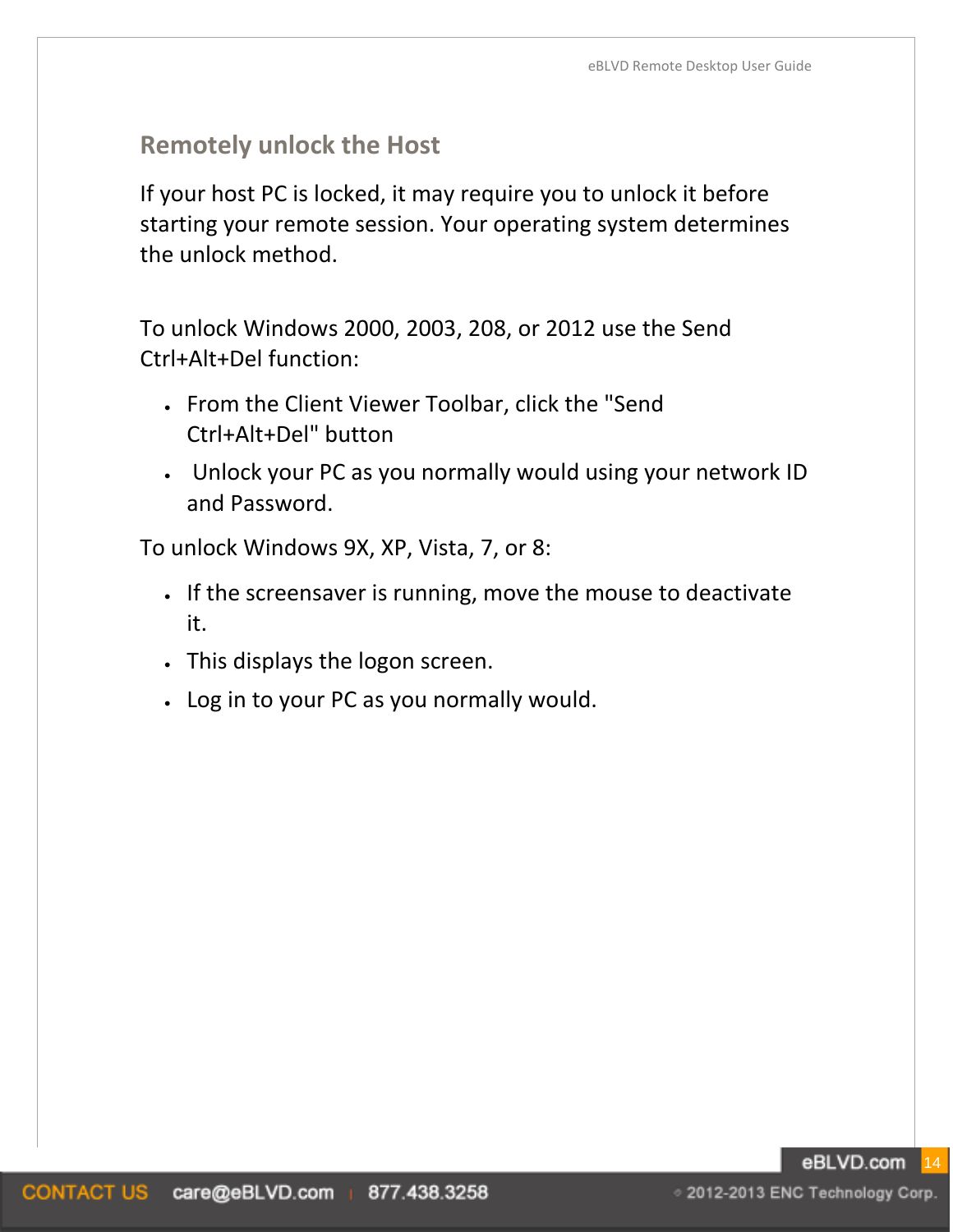# **Remotely unlock the Host**

If your host PC is locked, it may require you to unlock it before starting your remote session. Your operating system determines the unlock method.

To unlock Windows 2000, 2003, 208, or 2012 use the Send Ctrl+Alt+Del function:

- From the Client Viewer Toolbar, click the "Send Ctrl+Alt+Del" button
- Unlock your PC as you normally would using your network ID and Password.

To unlock Windows 9X, XP, Vista, 7, or 8:

- If the screensaver is running, move the mouse to deactivate it.
- This displays the logon screen.
- Log in to your PC as you normally would.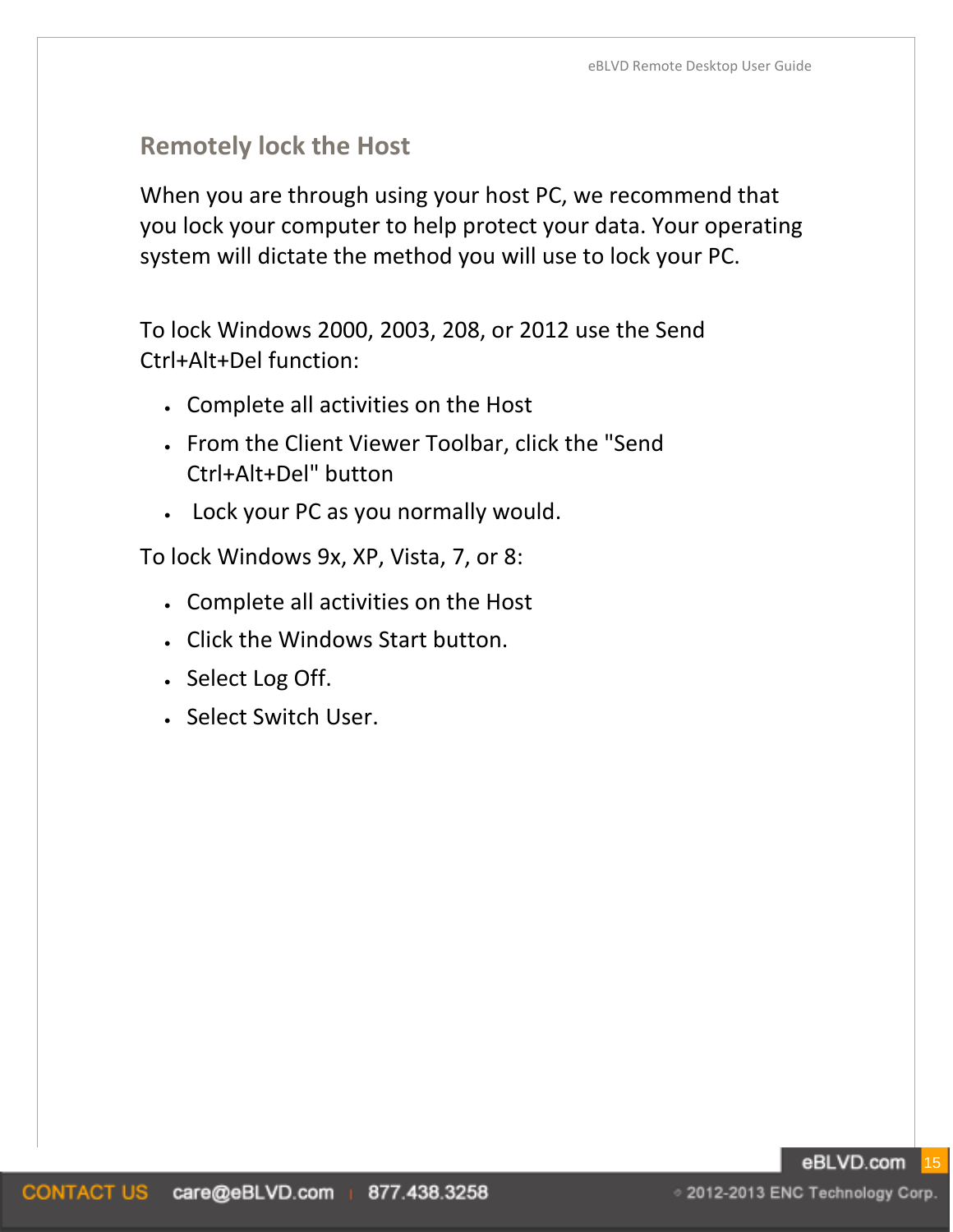# **Remotely lock the Host**

When you are through using your host PC, we recommend that you lock your computer to help protect your data. Your operating system will dictate the method you will use to lock your PC.

To lock Windows 2000, 2003, 208, or 2012 use the Send Ctrl+Alt+Del function:

- Complete all activities on the Host
- From the Client Viewer Toolbar, click the "Send Ctrl+Alt+Del" button
- Lock your PC as you normally would.

To lock Windows 9x, XP, Vista, 7, or 8:

- Complete all activities on the Host
- Click the Windows Start button.
- Select Log Off.
- Select Switch User.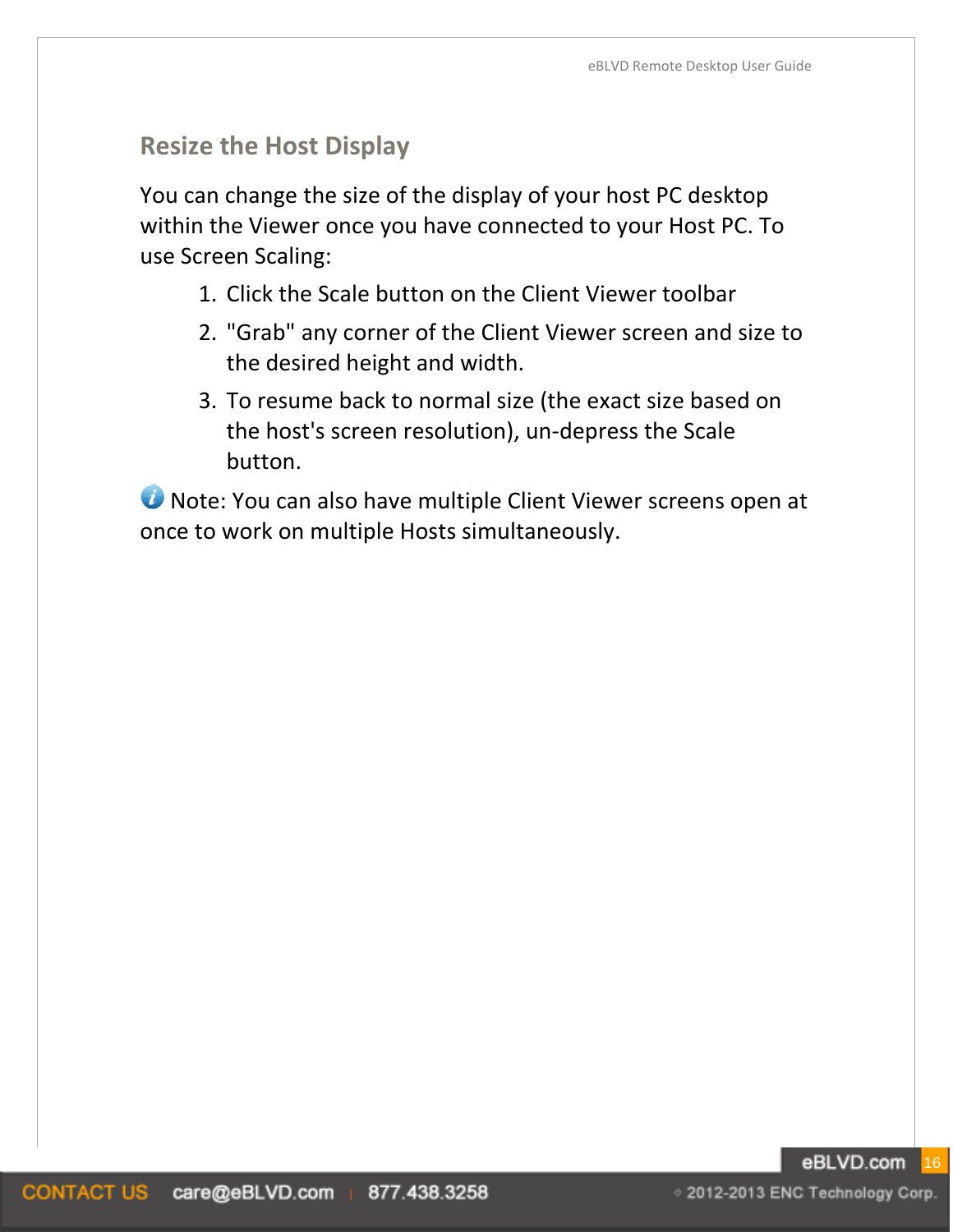# **Resize the Host Display**

You can change the size of the display of your host PC desktop within the Viewer once you have connected to your Host PC. To use Screen Scaling:

- 1. Click the Scale button on the Client Viewer toolbar
- 2. "Grab" any corner of the Client Viewer screen and size to the desired height and width.
- 3. To resume back to normal size (the exact size based on the host's screen resolution), un-depress the Scale button.

**U** Note: You can also have multiple Client Viewer screens open at once to work on multiple Hosts simultaneously.

#### eBLVD.com 16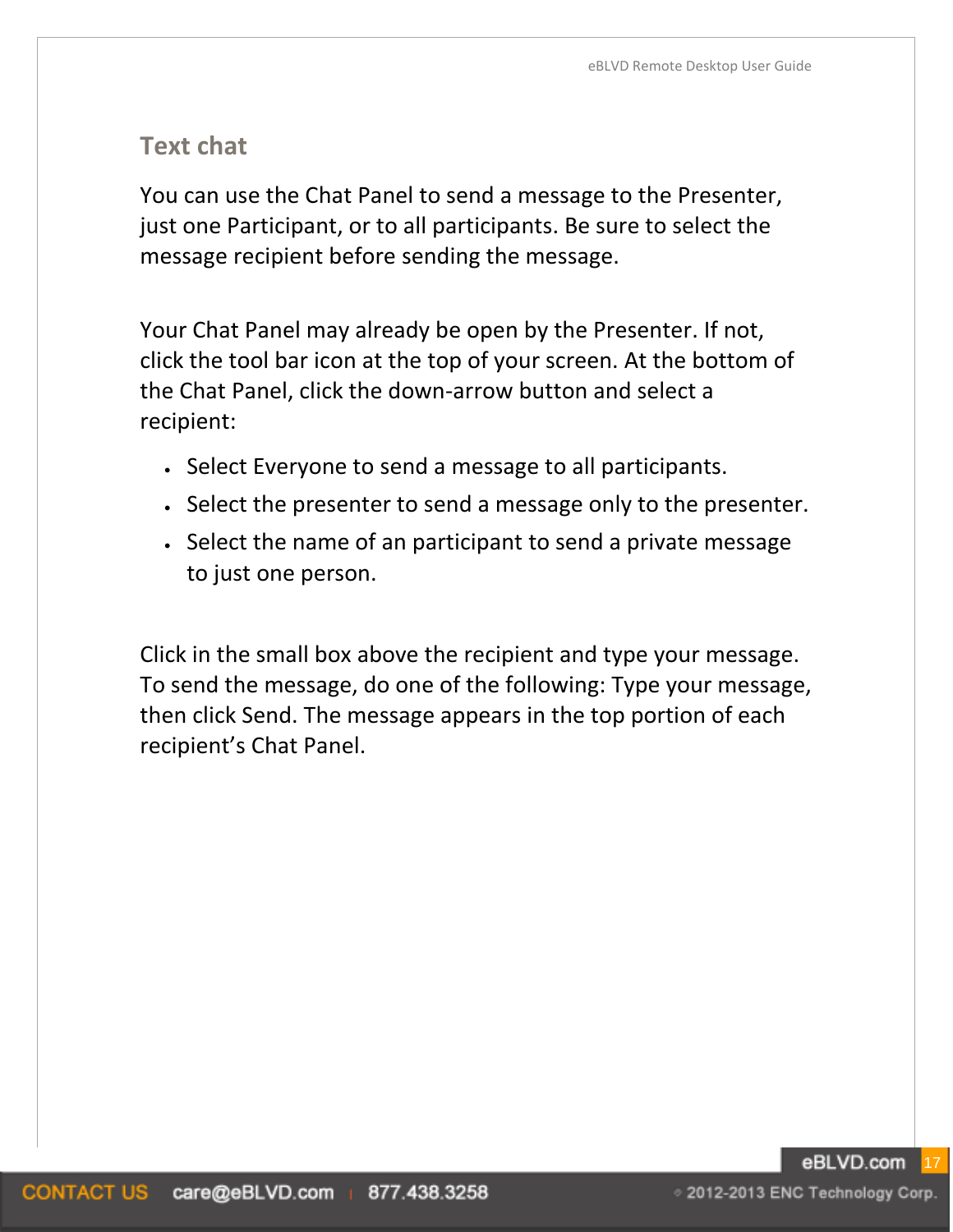## **Text chat**

You can use the Chat Panel to send a message to the Presenter, just one Participant, or to all participants. Be sure to select the message recipient before sending the message.

Your Chat Panel may already be open by the Presenter. If not, click the tool bar icon at the top of your screen. At the bottom of the Chat Panel, click the down-arrow button and select a recipient:

- Select Everyone to send a message to all participants.
- Select the presenter to send a message only to the presenter.
- Select the name of an participant to send a private message to just one person.

Click in the small box above the recipient and type your message. To send the message, do one of the following: Type your message, then click Send. The message appears in the top portion of each recipient's Chat Panel.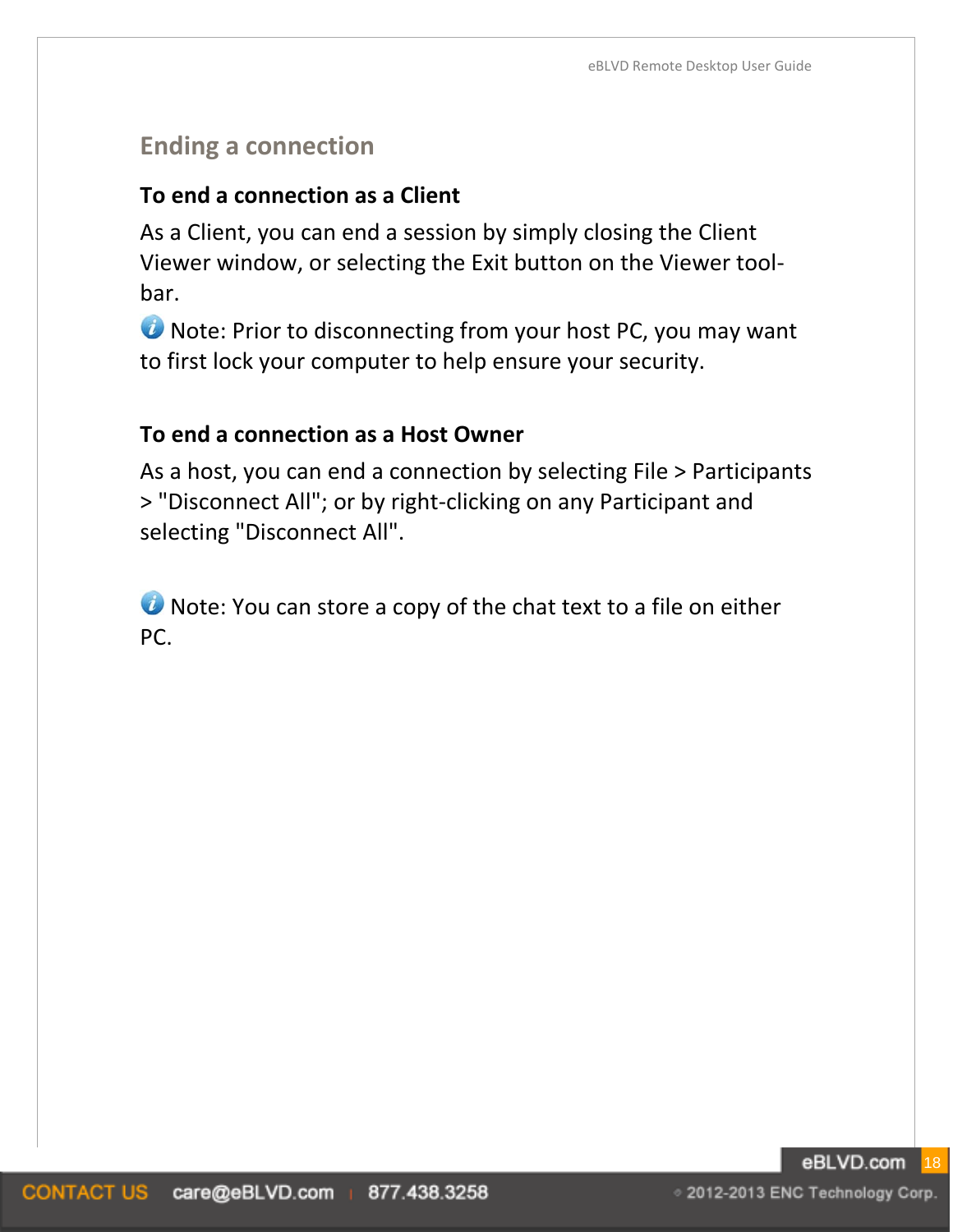# **Ending a connection**

#### **To end a connection as a Client**

As a Client, you can end a session by simply closing the Client Viewer window, or selecting the Exit button on the Viewer toolbar.

**U** Note: Prior to disconnecting from your host PC, you may want to first lock your computer to help ensure your security.

#### **To end a connection as a Host Owner**

As a host, you can end a connection by selecting File > Participants > "Disconnect All"; or by right-clicking on any Participant and selecting "Disconnect All".

**O** Note: You can store a copy of the chat text to a file on either PC.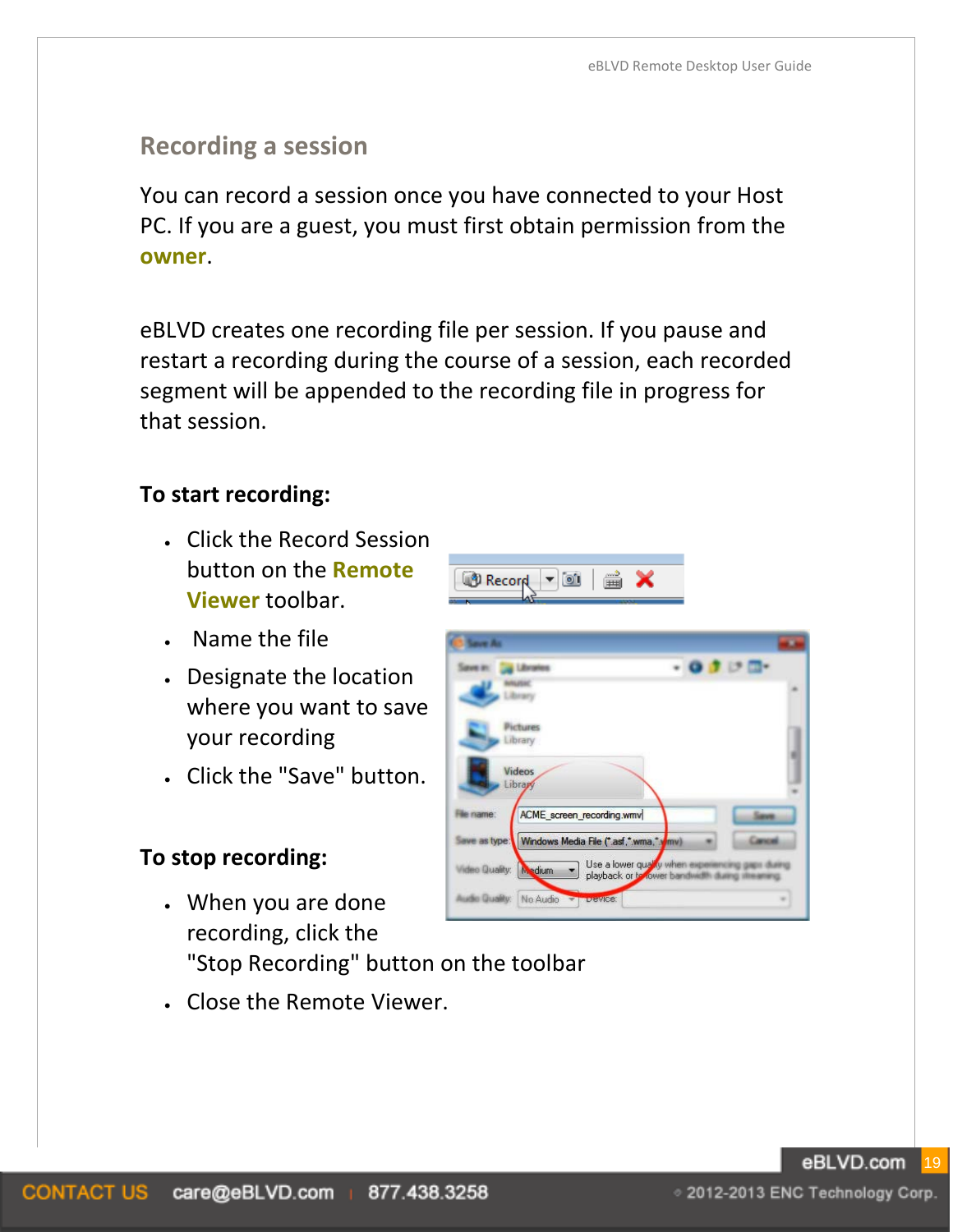# **Recording a session**

You can record a session once you have connected to your Host PC. If you are a guest, you must first obtain permission from the **owner**.

eBLVD creates one recording file per session. If you pause and restart a recording during the course of a session, each recorded segment will be appended to the recording file in progress for that session.

#### **To start recording:**

- Click the Record Session button on the **Remote Viewer** toolbar.
- Name the file
- Designate the location where you want to save your recording
- Click the "Save" button.

#### **To stop recording:**

- When you are done recording, click the "Stop Recording" button on the toolbar
- Close the Remote Viewer.

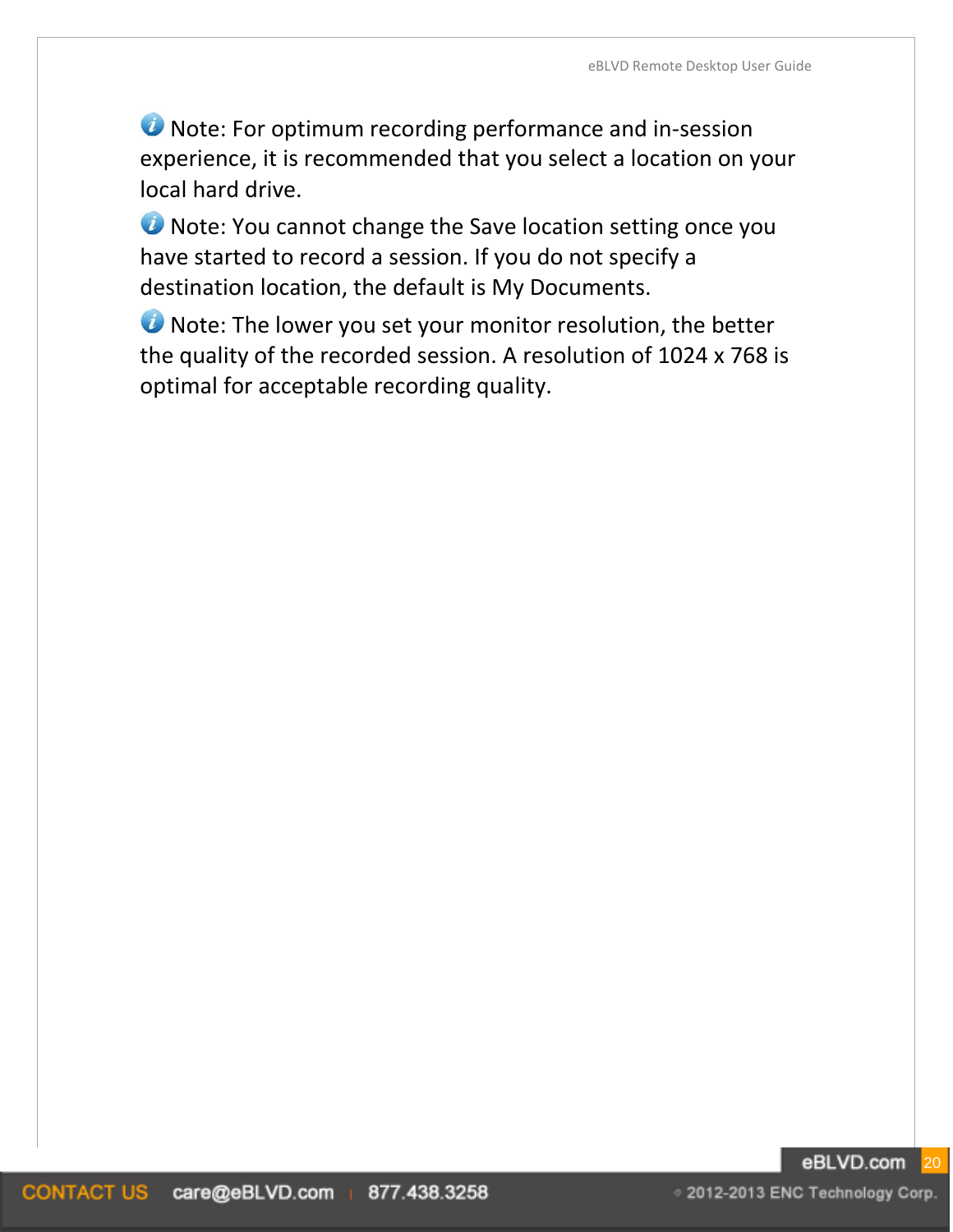**U** Note: For optimum recording performance and in-session experience, it is recommended that you select a location on your local hard drive.

*O* Note: You cannot change the Save location setting once you have started to record a session. If you do not specify a destination location, the default is My Documents.

*O* Note: The lower you set your monitor resolution, the better the quality of the recorded session. A resolution of 1024 x 768 is optimal for acceptable recording quality.

#### eBLVD.com 20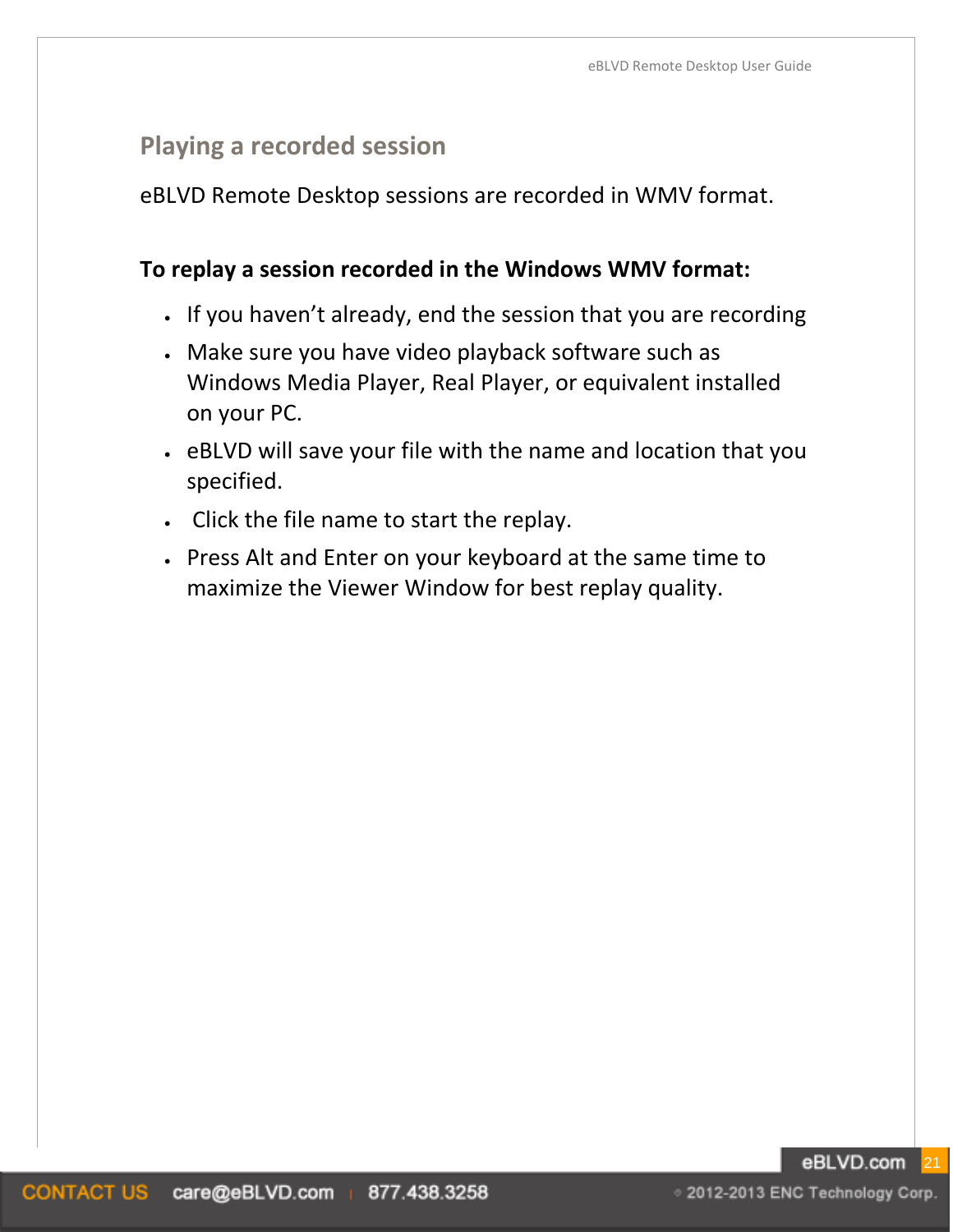# **Playing a recorded session**

eBLVD Remote Desktop sessions are recorded in WMV format.

#### **To replay a session recorded in the Windows WMV format:**

- If you haven't already, end the session that you are recording
- Make sure you have video playback software such as Windows Media Player, Real Player, or equivalent installed on your PC.
- eBLVD will save your file with the name and location that you specified.
- Click the file name to start the replay.
- Press Alt and Enter on your keyboard at the same time to maximize the Viewer Window for best replay quality.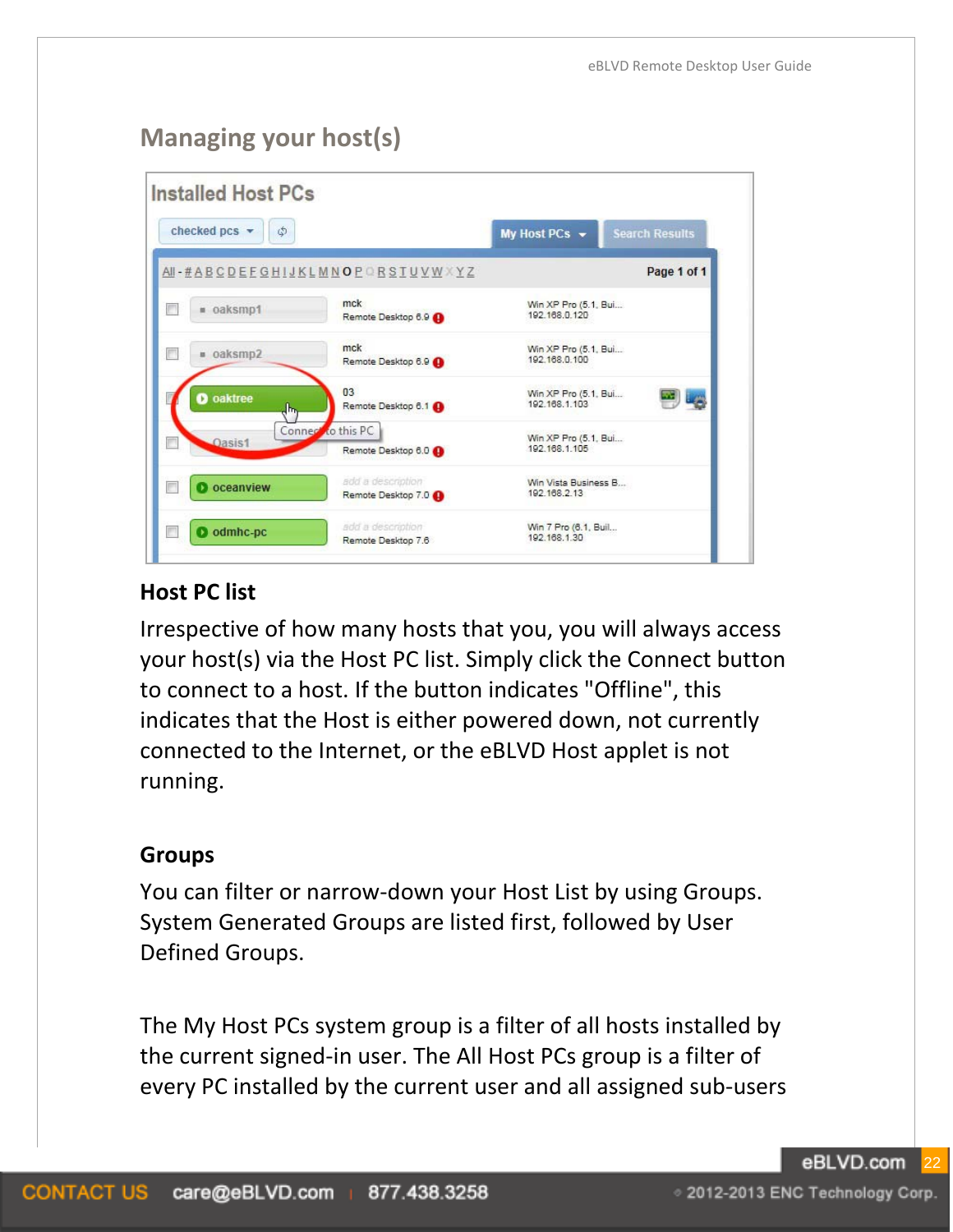# **Managing your host(s)**

| checked pcs v<br>٩ |                                          | My Host PCs -                         | <b>Search Results</b> |
|--------------------|------------------------------------------|---------------------------------------|-----------------------|
|                    | AI-#ABCDEFGHIJKLMNOPORSTUVWXYZ           |                                       | Page 1 of 1           |
| п                  | mck                                      | Win XP Pro (5.1, Bui                  |                       |
| · oaksmp1          | Remote Desktop 6.9                       | 192.168.0.120                         |                       |
| П                  | mck                                      | Win XP Pro (5.1, Bui                  |                       |
| · oaksmp2          | Remote Desktop 6.9                       | 192.168.0.100                         |                       |
| <b>D</b> oaktree   | 03                                       | Win XP Pro (5.1, Bui                  |                       |
| վեդ                | Remote Desktop 6.1                       | 192 168 1 103                         |                       |
| Oasis1             | Connect to this PC<br>Remote Desktop 6.0 | Win XP Pro (5.1, Bui<br>192.168.1.105 |                       |
| <b>D</b> oceanview | add a description                        | Win Vista Business B                  |                       |
| П                  | Remote Desktop 7.0                       | 192.168.2.13                          |                       |
| $\Box$             | add a description                        | Win 7 Pro (6.1, Buil                  |                       |
| odmhc-pc           | Remote Desktop 7.6                       | 192.168.1.30                          |                       |

#### **Host PC list**

Irrespective of how many hosts that you, you will always access your host(s) via the Host PC list. Simply click the Connect button to connect to a host. If the button indicates "Offline", this indicates that the Host is either powered down, not currently connected to the Internet, or the eBLVD Host applet is not running.

#### **Groups**

You can filter or narrow-down your Host List by using Groups. System Generated Groups are listed first, followed by User Defined Groups.

The My Host PCs system group is a filter of all hosts installed by the current signed-in user. The All Host PCs group is a filter of every PC installed by the current user and all assigned sub-users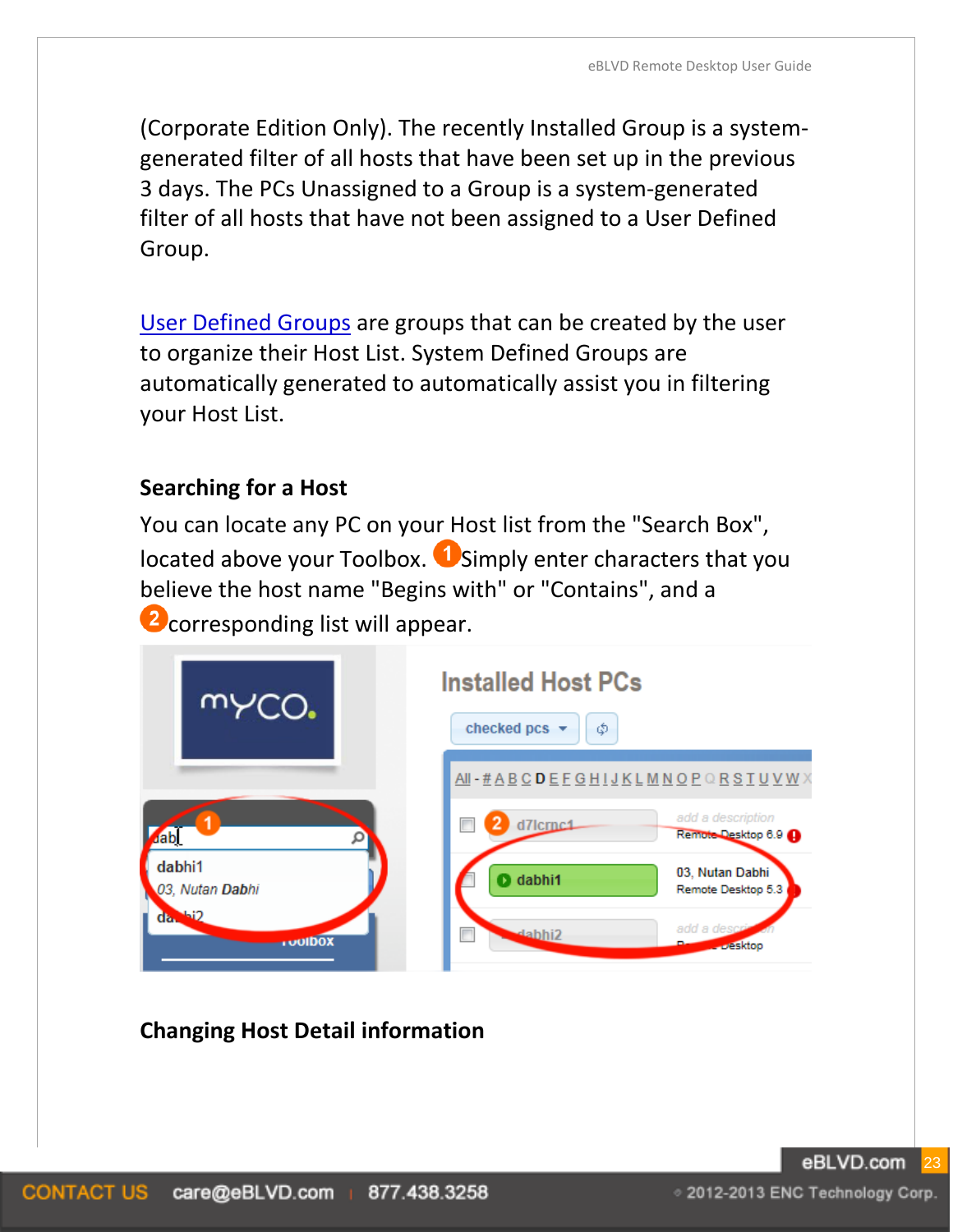(Corporate Edition Only). The recently Installed Group is a systemgenerated filter of all hosts that have been set up in the previous 3 days. The PCs Unassigned to a Group is a system-generated filter of all hosts that have not been assigned to a User Defined Group.

[User Defined Groups](#page-27-0) are groups that can be created by the user to organize their Host List. System Defined Groups are automatically generated to automatically assist you in filtering your Host List.

#### **Searching for a Host**

You can locate any PC on your Host list from the "Search Box", located above your Toolbox. **U** Simply enter characters that you believe the host name "Begins with" or "Contains", and a **2** corresponding list will appear.



# **Changing Host Detail information**

◇ 2012-2013 ENC Technology Corp.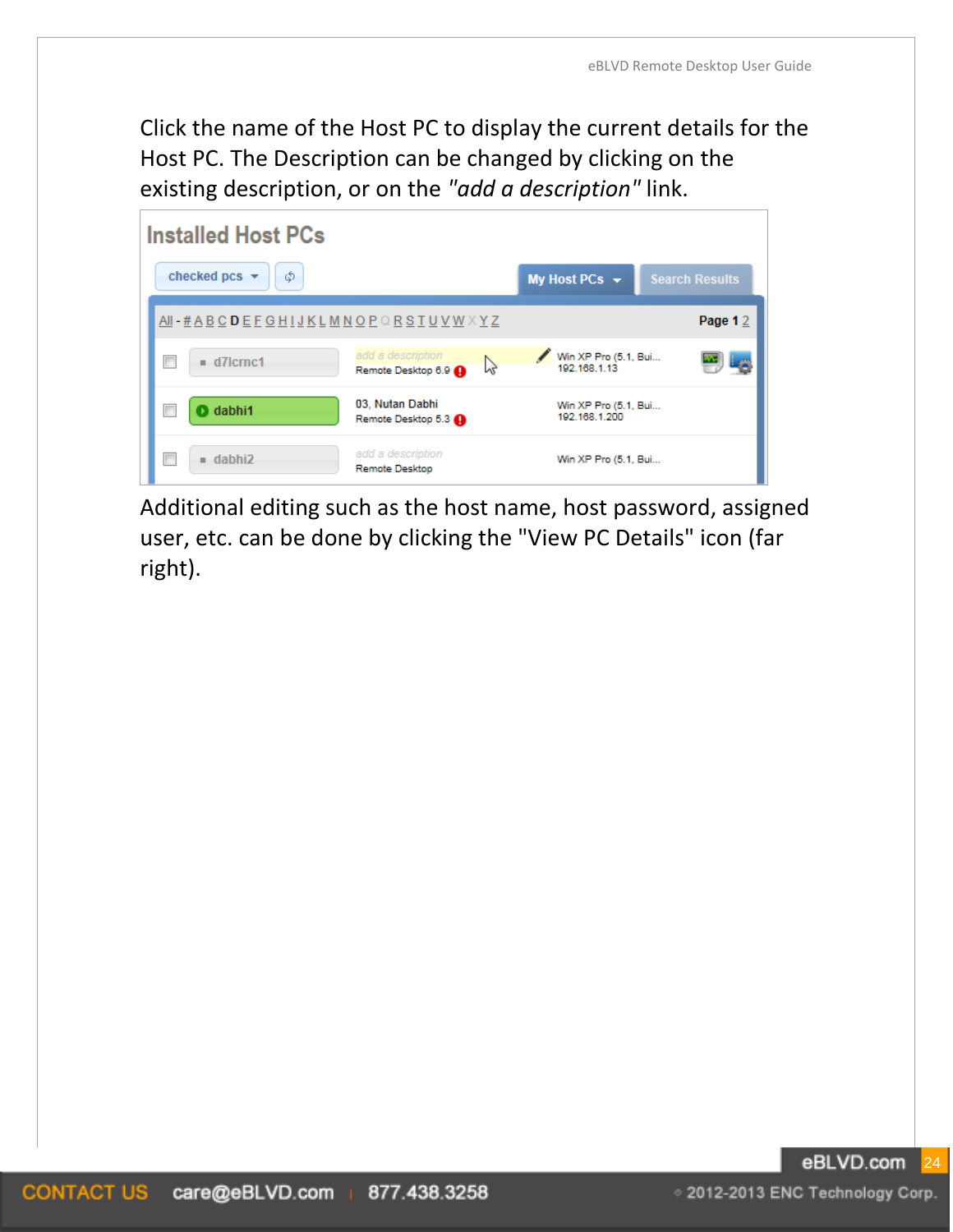Click the name of the Host PC to display the current details for the Host PC. The Description can be changed by clicking on the existing description, or on the *"add a description"* link.

| <b>Installed Host PCs</b>                                   |                                             |
|-------------------------------------------------------------|---------------------------------------------|
| checked pcs $\blacktriangledown$<br>Φ                       | <b>Search Results</b><br>My Host PCs $\sim$ |
| AII - # A B C D E F G H I J K L M N O P Q R S T U V W X Y Z | Page 12                                     |
| add a description<br>$= d7$ crnc1<br>Remote Desktop 6.9     | Win XP Pro (5.1, Bui<br>192.168.1.13        |
| 03, Nutan Dabhi<br><b>O</b> dabhi1<br>Remote Desktop 5.3    | Win XP Pro (5.1, Bui<br>192.168.1.200       |
| add a description<br>$=$ dabhi2<br><b>Remote Desktop</b>    | Win XP Pro (5.1, Bui                        |

Additional editing such as the host name, host password, assigned user, etc. can be done by clicking the "View PC Details" icon (far right).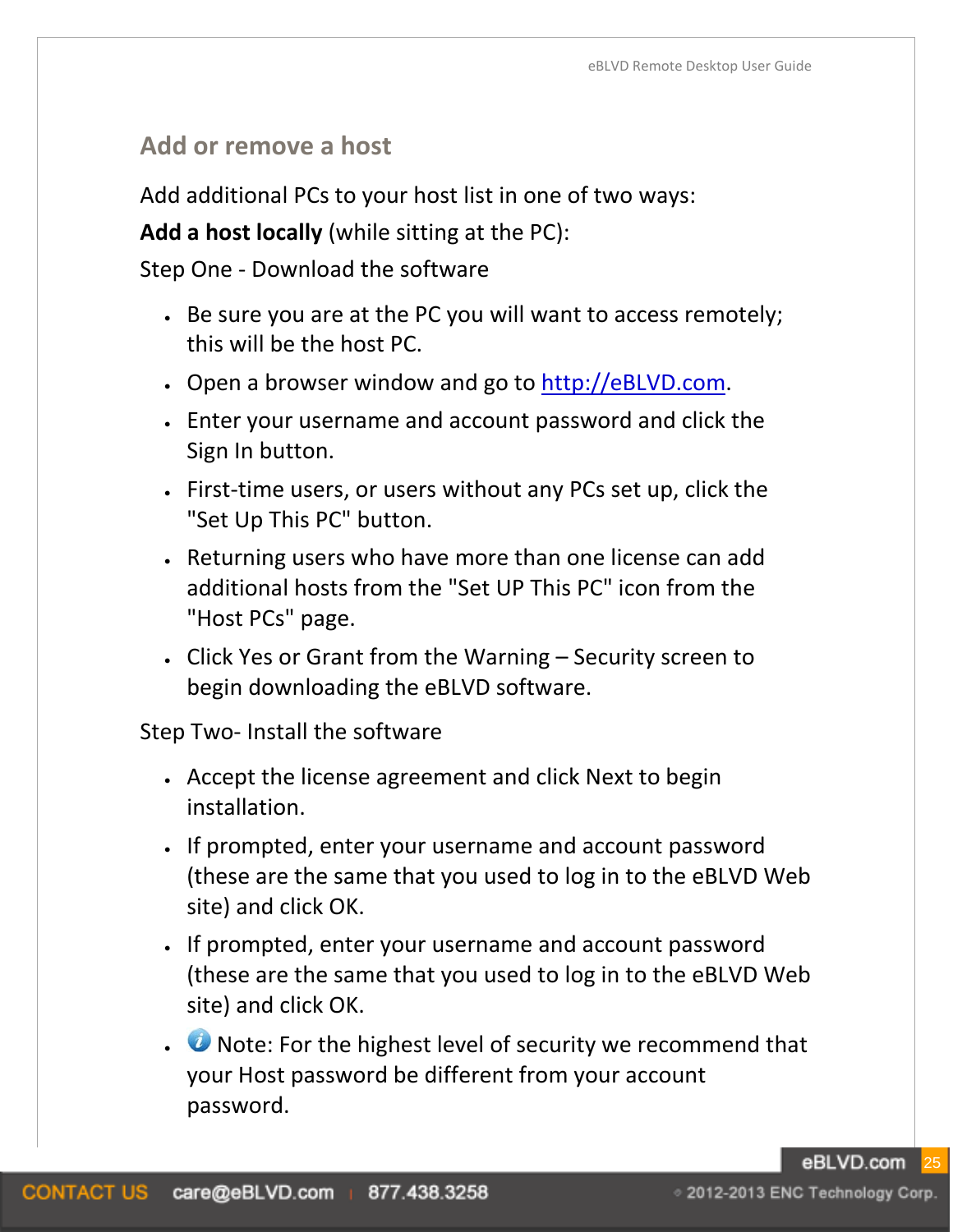## **Add or remove a host**

Add additional PCs to your host list in one of two ways:

**Add a host locally** (while sitting at the PC):

Step One - Download the software

- Be sure you are at the PC you will want to access remotely; this will be the host PC.
- Open a browser window and go to [http://eBLVD.com.](http://www.eblvd.com/)
- Enter your username and account password and click the Sign In button.
- First-time users, or users without any PCs set up, click the "Set Up This PC" button.
- Returning users who have more than one license can add additional hosts from the "Set UP This PC" icon from the "Host PCs" page.
- Click Yes or Grant from the Warning Security screen to begin downloading the eBLVD software.

Step Two- Install the software

- Accept the license agreement and click Next to begin installation.
- If prompted, enter your username and account password (these are the same that you used to log in to the eBLVD Web site) and click OK.
- If prompted, enter your username and account password (these are the same that you used to log in to the eBLVD Web site) and click OK.
- **U** Note: For the highest level of security we recommend that your Host password be different from your account password.

eBLVD.com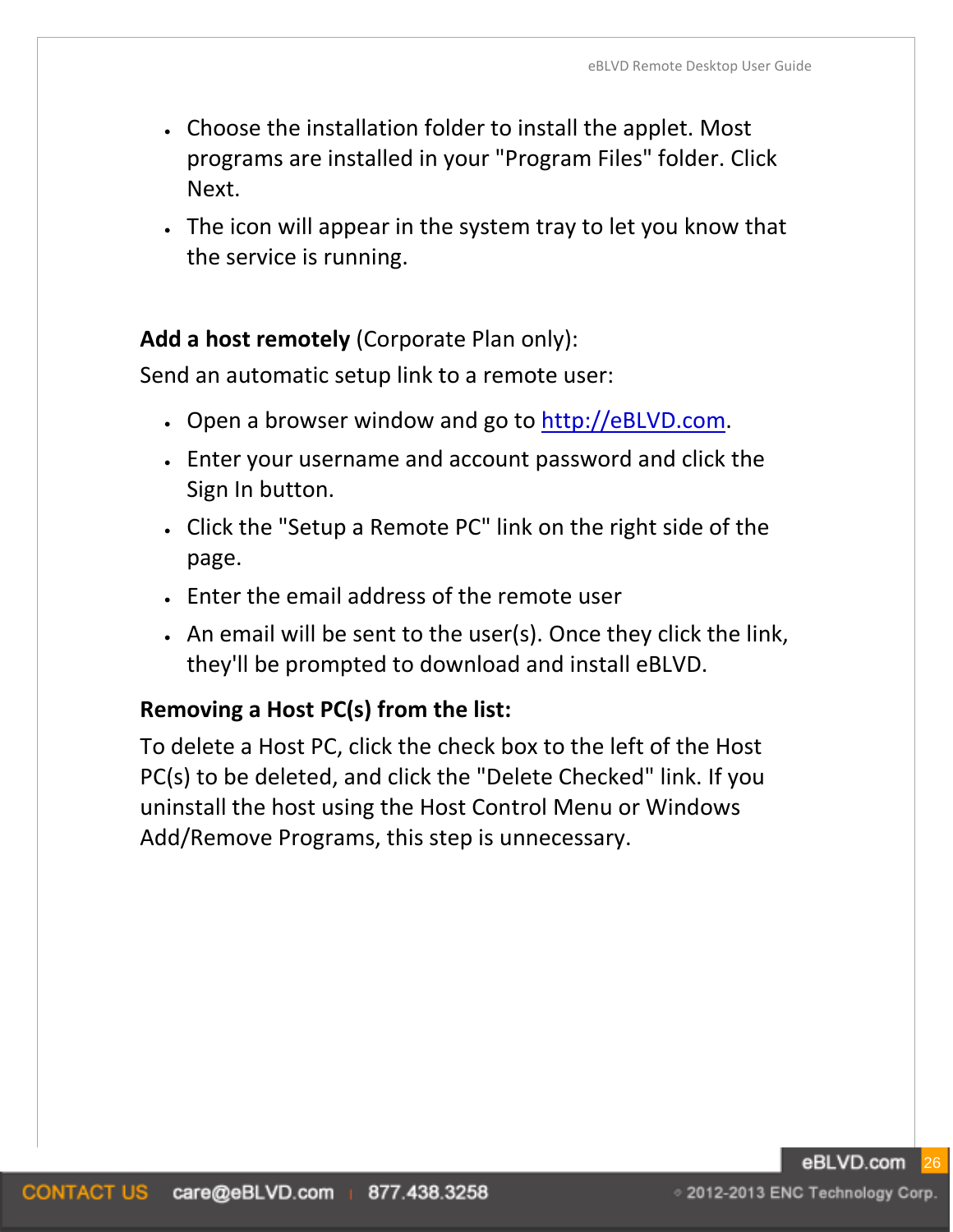- Choose the installation folder to install the applet. Most programs are installed in your "Program Files" folder. Click Next.
- The icon will appear in the system tray to let you know that the service is running.

#### **Add a host remotely** (Corporate Plan only):

Send an automatic setup link to a remote user:

- Open a browser window and go to [http://eBLVD.com.](http://www.eblvd.com/)
- Enter your username and account password and click the Sign In button.
- Click the "Setup a Remote PC" link on the right side of the page.
- Enter the email address of the remote user
- An email will be sent to the user(s). Once they click the link, they'll be prompted to download and install eBLVD.

## **Removing a Host PC(s) from the list:**

To delete a Host PC, click the check box to the left of the Host PC(s) to be deleted, and click the "Delete Checked" link. If you uninstall the host using the Host Control Menu or Windows Add/Remove Programs, this step is unnecessary.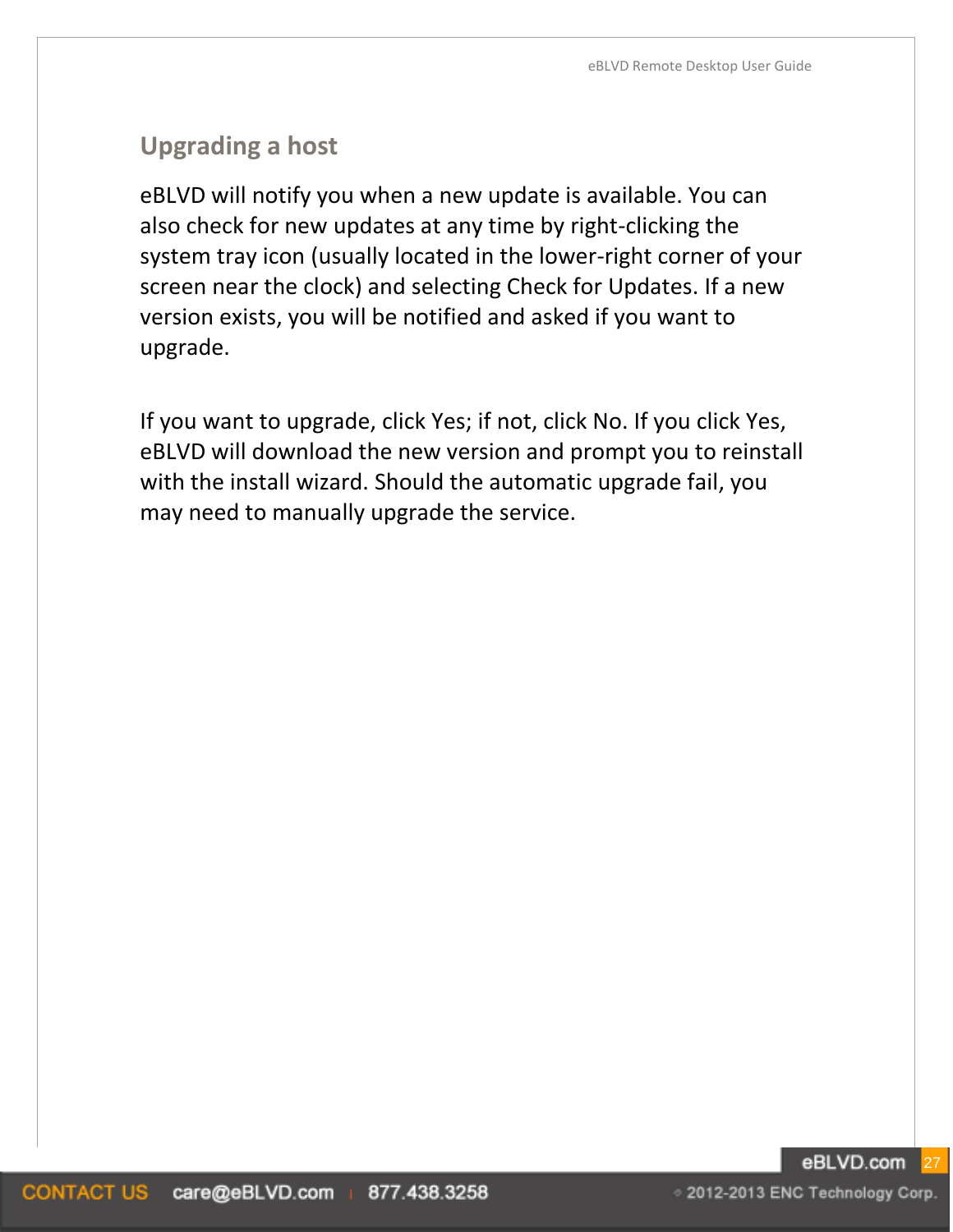## **Upgrading a host**

eBLVD will notify you when a new update is available. You can also check for new updates at any time by right-clicking the system tray icon (usually located in the lower-right corner of your screen near the clock) and selecting Check for Updates. If a new version exists, you will be notified and asked if you want to upgrade.

If you want to upgrade, click Yes; if not, click No. If you click Yes, eBLVD will download the new version and prompt you to reinstall with the install wizard. Should the automatic upgrade fail, you may need to manually upgrade the service.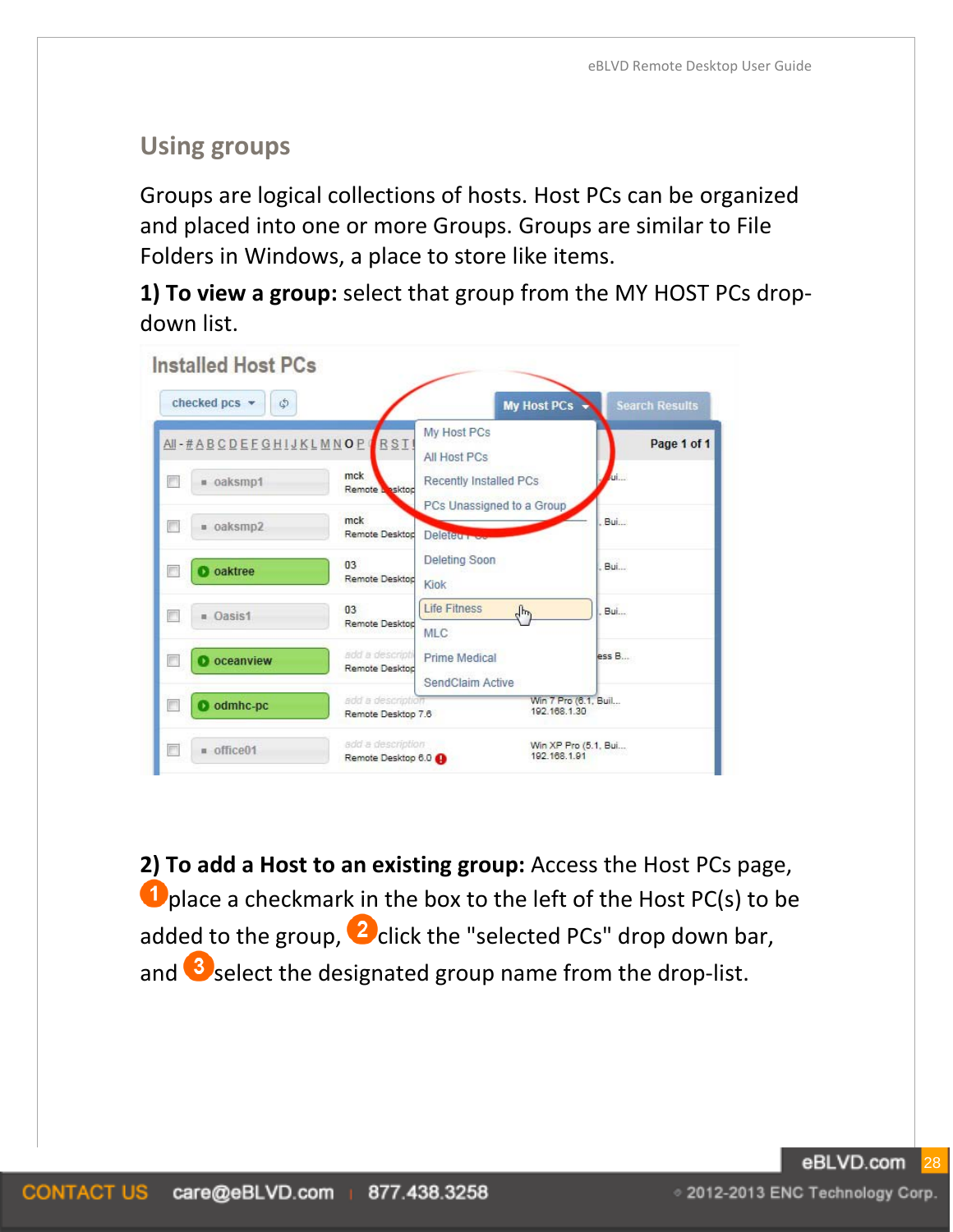# <span id="page-27-0"></span>**Using groups**

Groups are logical collections of hosts. Host PCs can be organized and placed into one or more Groups. Groups are similar to File Folders in Windows, a place to store like items.

**1) To view a group:** select that group from the MY HOST PCs dropdown list.

| Installed Host PCs<br>checked pcs -<br>\$ |                                         | <b>My Host PCs</b>                                | <b>Search Results</b> |
|-------------------------------------------|-----------------------------------------|---------------------------------------------------|-----------------------|
| All-#ABCDEFGHIJKLMNOP                     | RST                                     | My Host PCs<br>All Host PCs                       | Page 1 of 1           |
| oaksmp1                                   | mck<br>Remote Lesktop                   | Recently Installed PCs                            | Adj.                  |
| oaksmp2                                   | mck<br>Remote Desktod                   | PCs Unassigned to a Group<br><b>Deleterman</b>    | Bui                   |
| oaktree                                   | 03<br>Remote Desktop                    | Deleting Soon<br><b>Kiok</b>                      | Bui                   |
| <b>u</b> Oasis1                           | 0 <sup>3</sup><br>Remote Desktod        | <b>Life Fitness</b><br>$\mathbb{F}$<br><b>MLC</b> | Bui                   |
| oceanview                                 | add a descripti<br>Remote Desktod       | <b>Prime Medical</b><br>SendClaim Active          | ess B                 |
| odmhc-pc                                  | add a description<br>Remote Desktop 7.6 | 192.168.1.30                                      | Win 7 Pro (6.1, Buil  |
| = office01                                | add a description<br>Remote Desktop 6.0 | 192, 168, 1.91                                    | Win XP Pro (5.1, Bui  |

**2) To add a Host to an existing group:** Access the Host PCs page, **O** place a checkmark in the box to the left of the Host PC(s) to be added to the group,  $\Omega$  click the "selected PCs" drop down bar, and  $\bullet$  select the designated group name from the drop-list.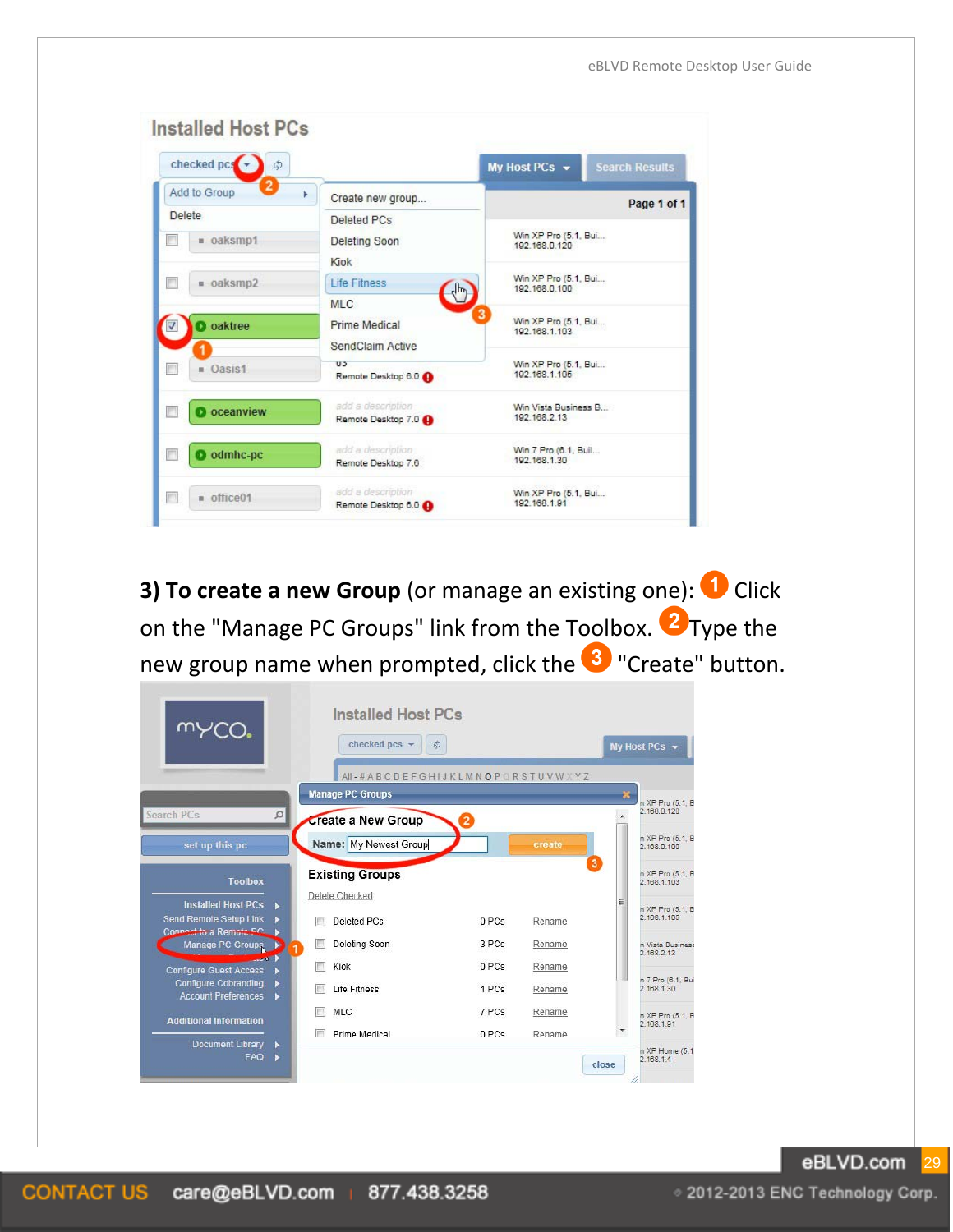| checked pcs<br>٦                         |                                           | My Host PCs $\sim$                    | <b>Search Results</b> |
|------------------------------------------|-------------------------------------------|---------------------------------------|-----------------------|
| <b>Add to Group</b>                      | Create new group                          |                                       | Page 1 of 1           |
| Delete                                   | Deleted PCs                               |                                       |                       |
| F                                        | Deleting Soon                             | Win XP Pro (5.1, Bui                  |                       |
| · oaksmp1                                | Kiok                                      | 192.168.0.120                         |                       |
| = oaksmp2                                | <b>Life Fitness</b>                       | Win XP Pro (5.1, Bui                  |                       |
| П                                        | $\mathcal{L}_{\mu\nu}$                    | 192.168.0.100                         |                       |
| <b>D</b> oaktree<br>$\blacktriangledown$ | MLC.<br>Prime Medical<br>SendClaim Active | Win XP Pro (5.1, Bui<br>192.168.1.103 |                       |
| <b>n</b> Oasis1                          | U5<br>Remote Desktop 6.0                  | Win XP Pro (5.1, Bui<br>192.168.1.105 |                       |
| <b>D</b> oceanview                       | add a description                         | Win Vista Business B                  |                       |
| П                                        | Remote Desktop 7.0                        | 192.168.2.13                          |                       |
| П                                        | add a description                         | Win 7 Pro (6.1, Buil                  |                       |
| odmhc-pc                                 | Remote Desktop 7.6                        | 192 188 1 30                          |                       |
| г                                        | add a description                         | Win XP Pro (5.1, Bui                  |                       |
| n office01                               | Remote Desktop 6.0                        | 192.168.1.91                          |                       |

**3) To create a new Group** (or manage an existing one): <sup>1</sup> Click on the "Manage PC Groups" link from the Toolbox.  $\bullet$  Type the new group name when prompted, click the <sup>3</sup> "Create" button.

|                                                           | <b>Installed Host PCs</b>             |       |        |                         |                                 |  |
|-----------------------------------------------------------|---------------------------------------|-------|--------|-------------------------|---------------------------------|--|
|                                                           | checked $pcs$ $\star$                 | 卤     |        |                         | My Host PCs $\sim$              |  |
|                                                           | AII-#ABCDEFGHIJKLMNOPQRSTUVWXYZ       |       |        |                         |                                 |  |
|                                                           | <b>Manage PC Groups</b>               |       |        | ×                       | n XP Pro (5.1, B                |  |
| Search PCs                                                | $\Omega$<br><b>Create a New Group</b> |       |        |                         | 2.168.0.120                     |  |
| set up this pc                                            | Name: My Newest Group                 |       | create |                         | n XP Pro (5.1. B<br>2.168.0.100 |  |
| <b>Toolbox</b>                                            | <b>Existing Groups</b>                |       |        | $\overline{\mathbf{3}}$ | n XP Pro (5.1, B<br>2.168.1.103 |  |
| <b>Installed Host PCs</b>                                 | Delete Checked                        |       |        |                         | n XP Pro (5.1, B                |  |
| Send Remote Setup Link<br>Connect to a Remote P.C.        | Deleted PCs                           | 0 PCs | Rename |                         | 2.168.1.105                     |  |
| Manage PC Groups                                          | Deleting Soon                         | 3 PCs | Rename |                         | n Vista Business<br>2.168.2.13  |  |
| $25 -$<br><b>Configure Guest Access</b>                   | Kiok                                  | 0 PCs | Rename |                         |                                 |  |
| <b>Configure Cobranding</b><br><b>Account Preferences</b> | Life Fitness<br>٠                     | 1 PCs | Rename |                         | n 7 Pro (6.1, Bui<br>2.168.1.30 |  |
| <b>Additional Information</b>                             | <b>MLC</b>                            | 7 PCs | Rename |                         | n XP Pro (5.1, B<br>2.168.1.91  |  |
| <b>Document Library</b>                                   | Prime Medical<br>٠                    | 0PCs  | Rename |                         |                                 |  |
| <b>FAQ</b>                                                | ٠                                     |       |        | close                   | n XP Home (5.1)<br>2.168.1.4    |  |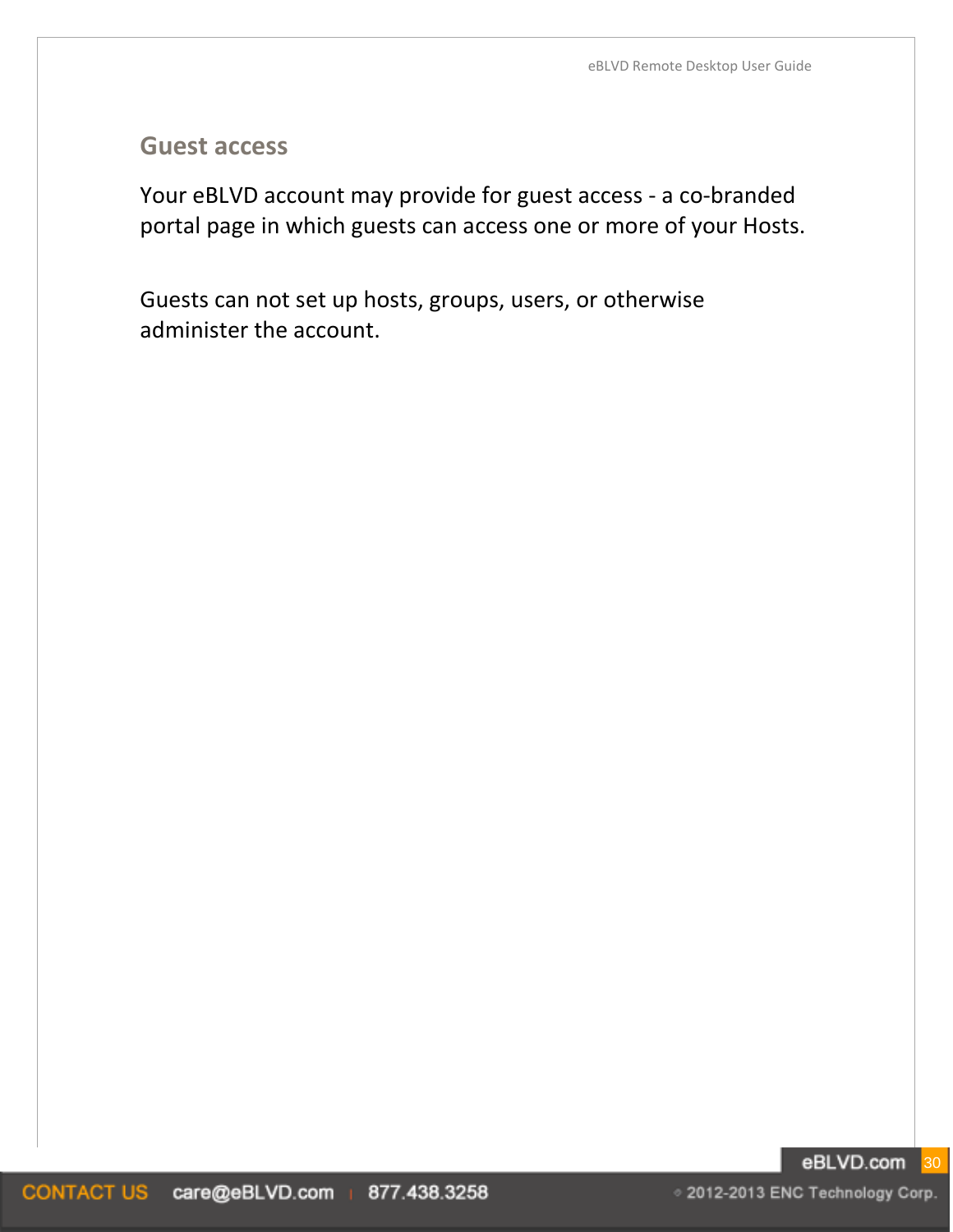#### **Guest access**

Your eBLVD account may provide for guest access - a co-branded portal page in which guests can access one or more of your Hosts.

Guests can not set up hosts, groups, users, or otherwise administer the account.

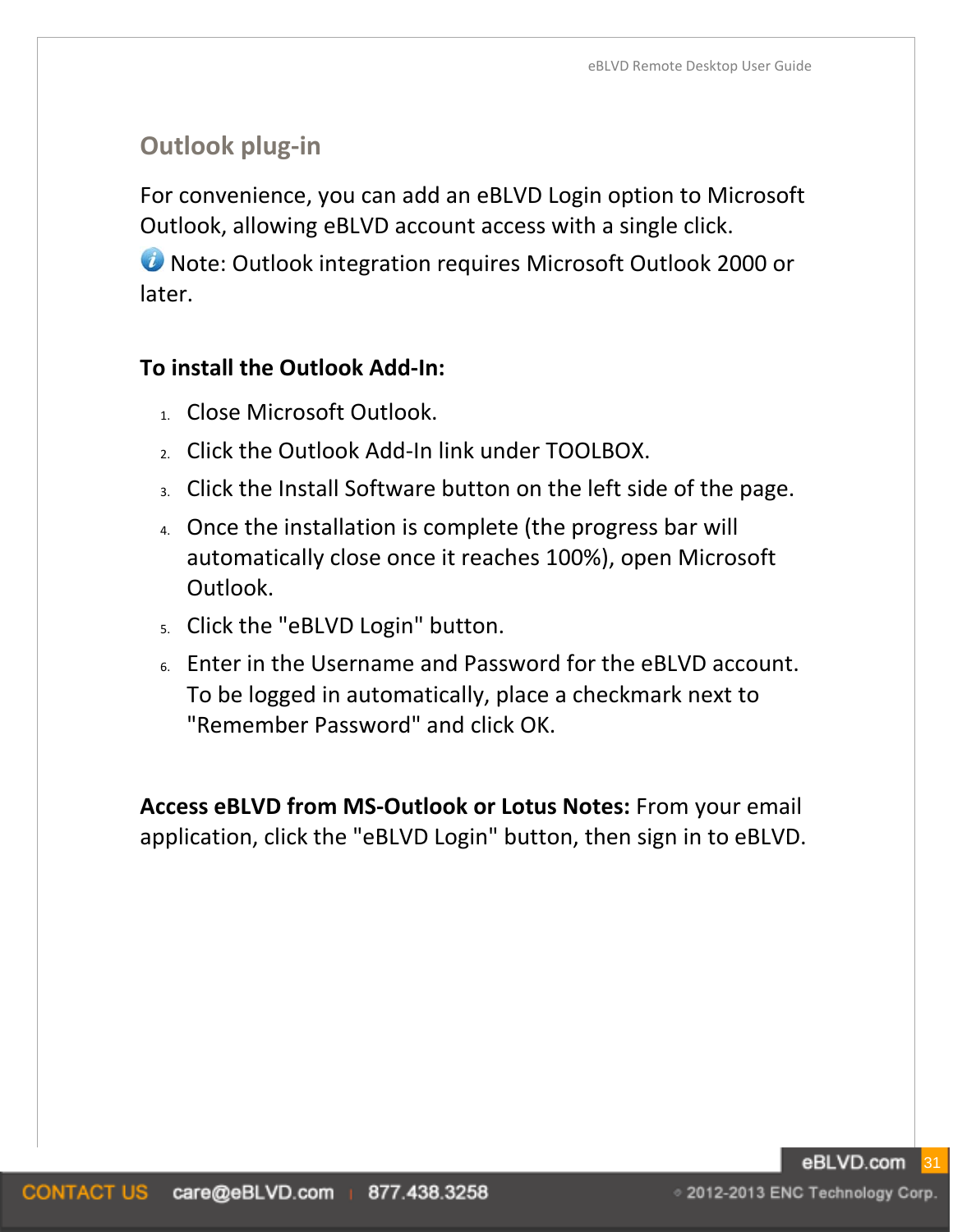# **Outlook plug-in**

For convenience, you can add an eBLVD Login option to Microsoft Outlook, allowing eBLVD account access with a single click.

**U** Note: Outlook integration requires Microsoft Outlook 2000 or later.

#### **To install the Outlook Add-In:**

- 1. Close Microsoft Outlook.
- 2. Click the Outlook Add-In link under TOOLBOX.
- 3. Click the Install Software button on the left side of the page.
- 4. Once the installation is complete (the progress bar will automatically close once it reaches 100%), open Microsoft Outlook.
- 5. Click the "eBLVD Login" button.
- 6. Enter in the Username and Password for the eBLVD account. To be logged in automatically, place a checkmark next to "Remember Password" and click OK.

**Access eBLVD from MS-Outlook or Lotus Notes:** From your email application, click the "eBLVD Login" button, then sign in to eBLVD.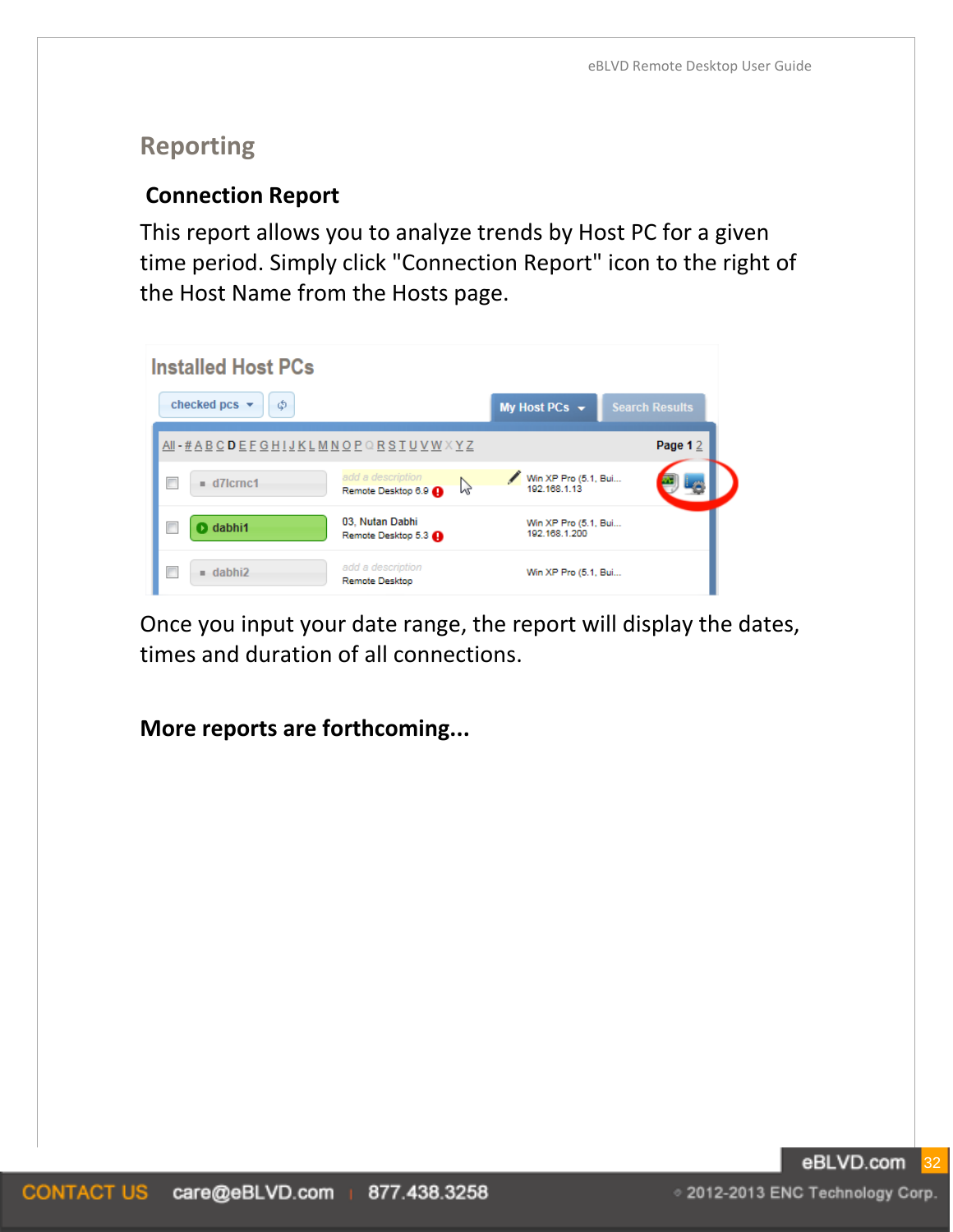# **Reporting**

#### **Connection Report**

This report allows you to analyze trends by Host PC for a given time period. Simply click "Connection Report" icon to the right of the Host Name from the Hosts page.

| <b>Installed Host PCs</b>                                   |                                              |                                       |                       |
|-------------------------------------------------------------|----------------------------------------------|---------------------------------------|-----------------------|
| checked pcs<br>Φ<br>٠                                       |                                              | My Host PCs $\rightarrow$             | <b>Search Results</b> |
| AII - # A B C D E F G H I J K L M N O P Q R S T U V W X Y Z |                                              |                                       | Page 1 $2$            |
| П<br>$= d7$ crnc1                                           | add a description<br>h<br>Remote Desktop 6.9 | Win XP Pro (5.1, Bui<br>192.168.1.13  |                       |
| <b>O</b> dabhi1                                             | 03, Nutan Dabhi<br>Remote Desktop 5.3        | Win XP Pro (5.1, Bui<br>192.168.1.200 |                       |
| г<br>$=$ dabhi2                                             | add a description<br><b>Remote Desktop</b>   | Win XP Pro (5.1, Bui                  |                       |

Once you input your date range, the report will display the dates, times and duration of all connections.

**More reports are forthcoming...**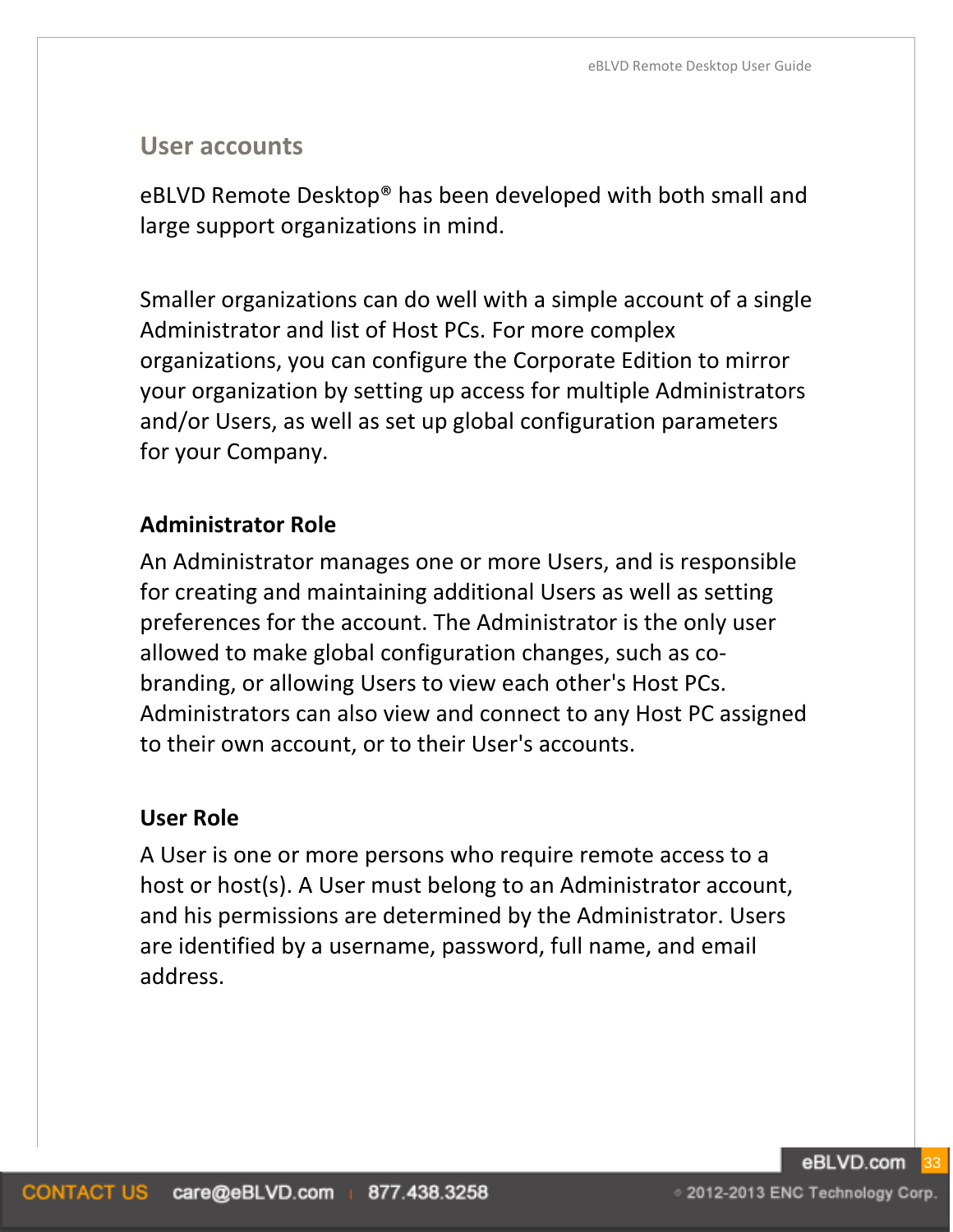#### **User accounts**

eBLVD Remote Desktop® has been developed with both small and large support organizations in mind.

Smaller organizations can do well with a simple account of a single Administrator and list of Host PCs. For more complex organizations, you can configure the Corporate Edition to mirror your organization by setting up access for multiple Administrators and/or Users, as well as set up global configuration parameters for your Company.

## **Administrator Role**

An Administrator manages one or more Users, and is responsible for creating and maintaining additional Users as well as setting preferences for the account. The Administrator is the only user allowed to make global configuration changes, such as cobranding, or allowing Users to view each other's Host PCs. Administrators can also view and connect to any Host PC assigned to their own account, or to their User's accounts.

#### **User Role**

A User is one or more persons who require remote access to a host or host(s). A User must belong to an Administrator account, and his permissions are determined by the Administrator. Users are identified by a username, password, full name, and email address.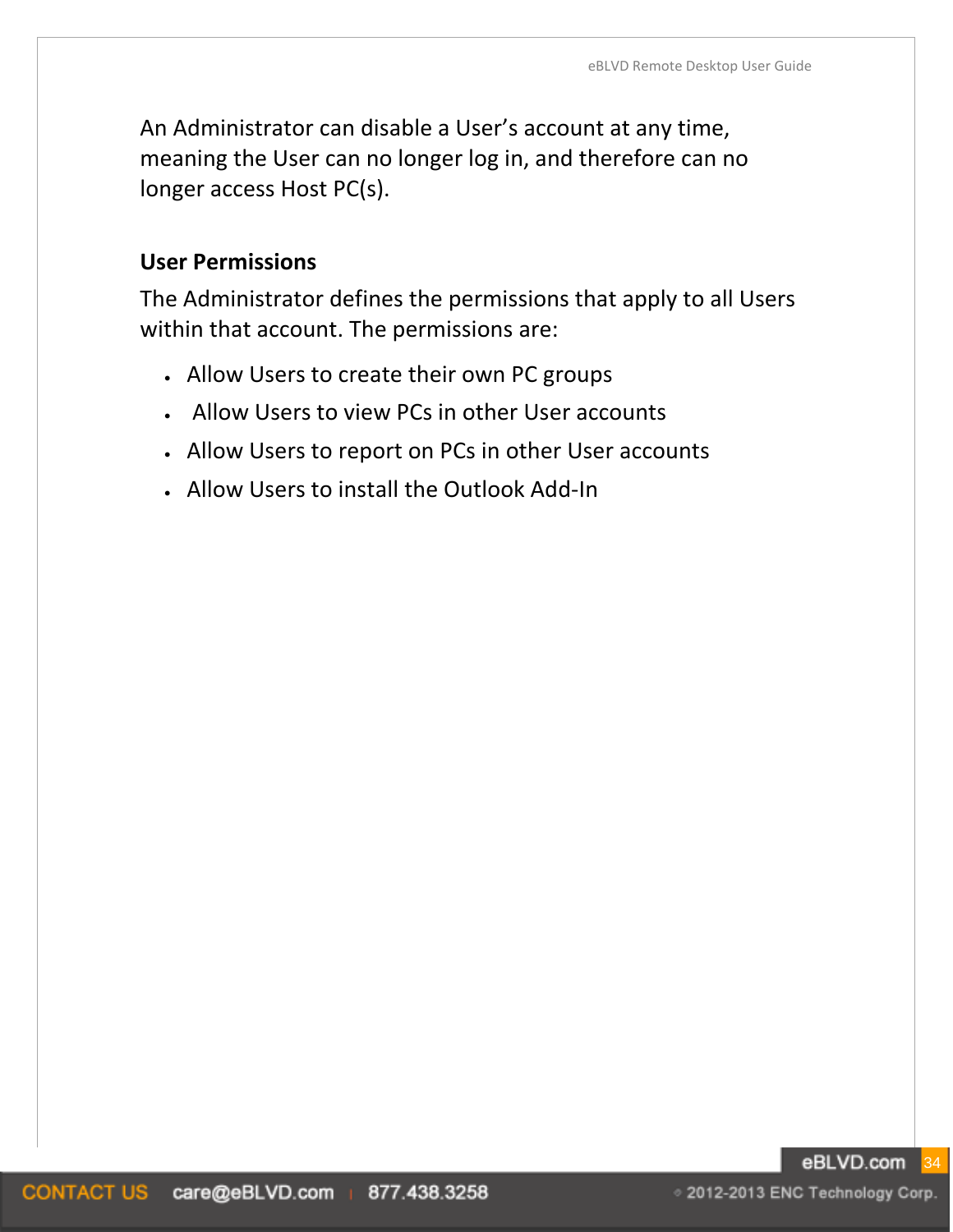An Administrator can disable a User's account at any time, meaning the User can no longer log in, and therefore can no longer access Host PC(s).

#### **User Permissions**

The Administrator defines the permissions that apply to all Users within that account. The permissions are:

- Allow Users to create their own PC groups
- Allow Users to view PCs in other User accounts
- Allow Users to report on PCs in other User accounts
- Allow Users to install the Outlook Add-In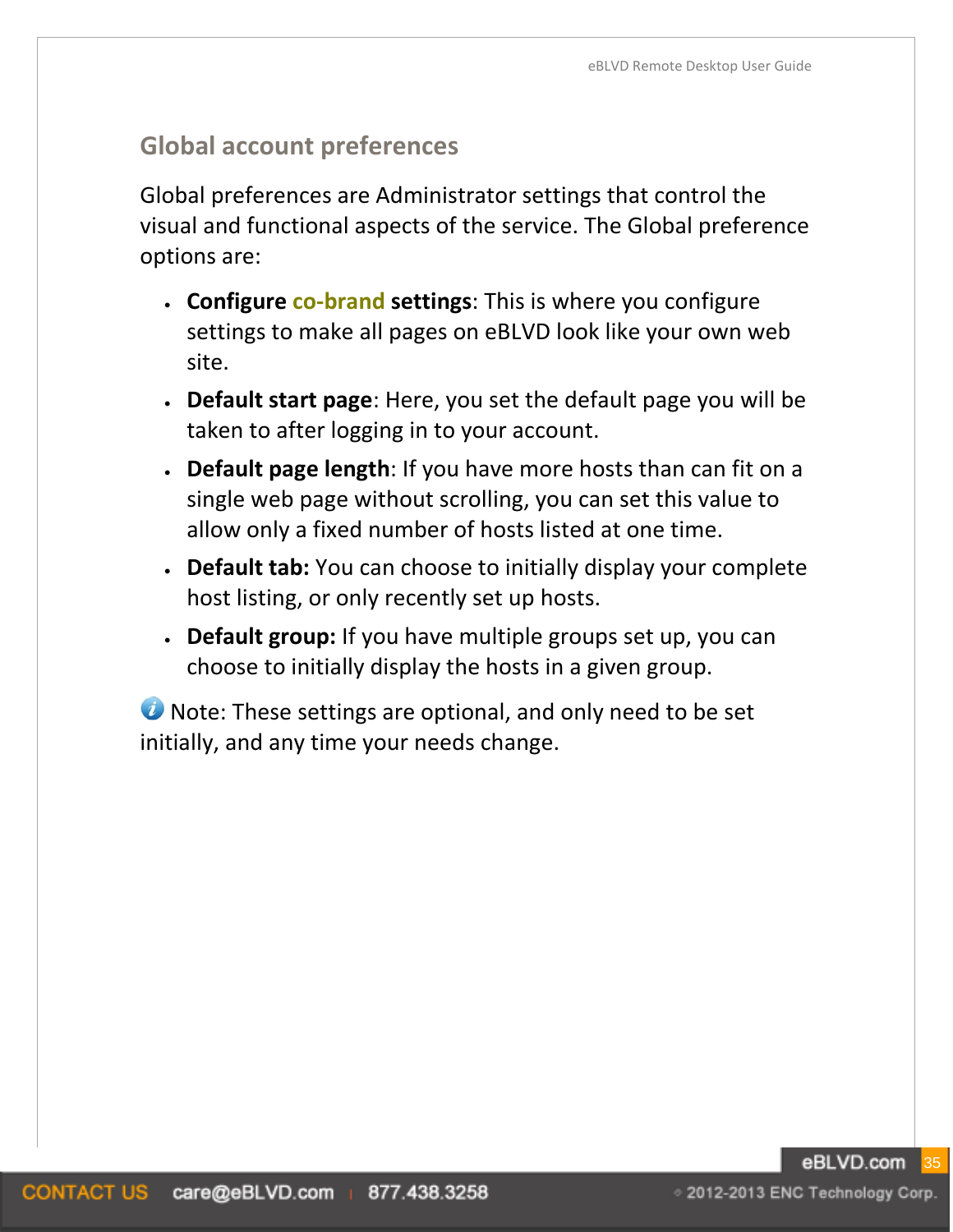# **Global account preferences**

Global preferences are Administrator settings that control the visual and functional aspects of the service. The Global preference options are:

- **Configure co-brand settings**: This is where you configure settings to make all pages on eBLVD look like your own web site.
- **Default start page**: Here, you set the default page you will be taken to after logging in to your account.
- **Default page length**: If you have more hosts than can fit on a single web page without scrolling, you can set this value to allow only a fixed number of hosts listed at one time.
- **Default tab:** You can choose to initially display your complete host listing, or only recently set up hosts.
- **Default group:** If you have multiple groups set up, you can choose to initially display the hosts in a given group.

**U** Note: These settings are optional, and only need to be set initially, and any time your needs change.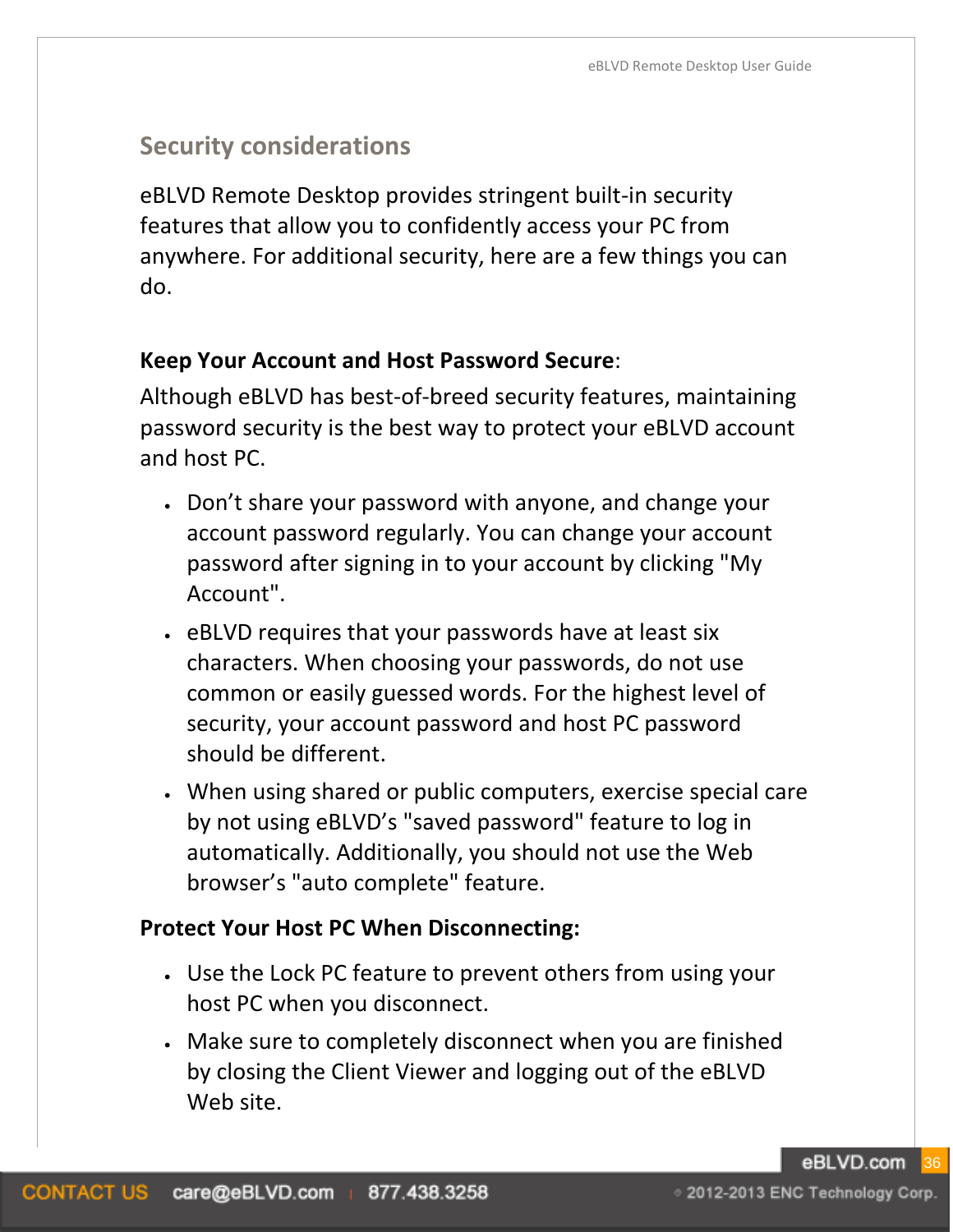# **Security considerations**

eBLVD Remote Desktop provides stringent built-in security features that allow you to confidently access your PC from anywhere. For additional security, here are a few things you can do.

#### **Keep Your Account and Host Password Secure**:

Although eBLVD has best-of-breed security features, maintaining password security is the best way to protect your eBLVD account and host PC.

- Don't share your password with anyone, and change your account password regularly. You can change your account password after signing in to your account by clicking "My Account".
- eBLVD requires that your passwords have at least six characters. When choosing your passwords, do not use common or easily guessed words. For the highest level of security, your account password and host PC password should be different.
- When using shared or public computers, exercise special care by not using eBLVD's "saved password" feature to log in automatically. Additionally, you should not use the Web browser's "auto complete" feature.

#### **Protect Your Host PC When Disconnecting:**

- Use the Lock PC feature to prevent others from using your host PC when you disconnect.
- Make sure to completely disconnect when you are finished by closing the Client Viewer and logging out of the eBLVD Web site.

eBLVD.com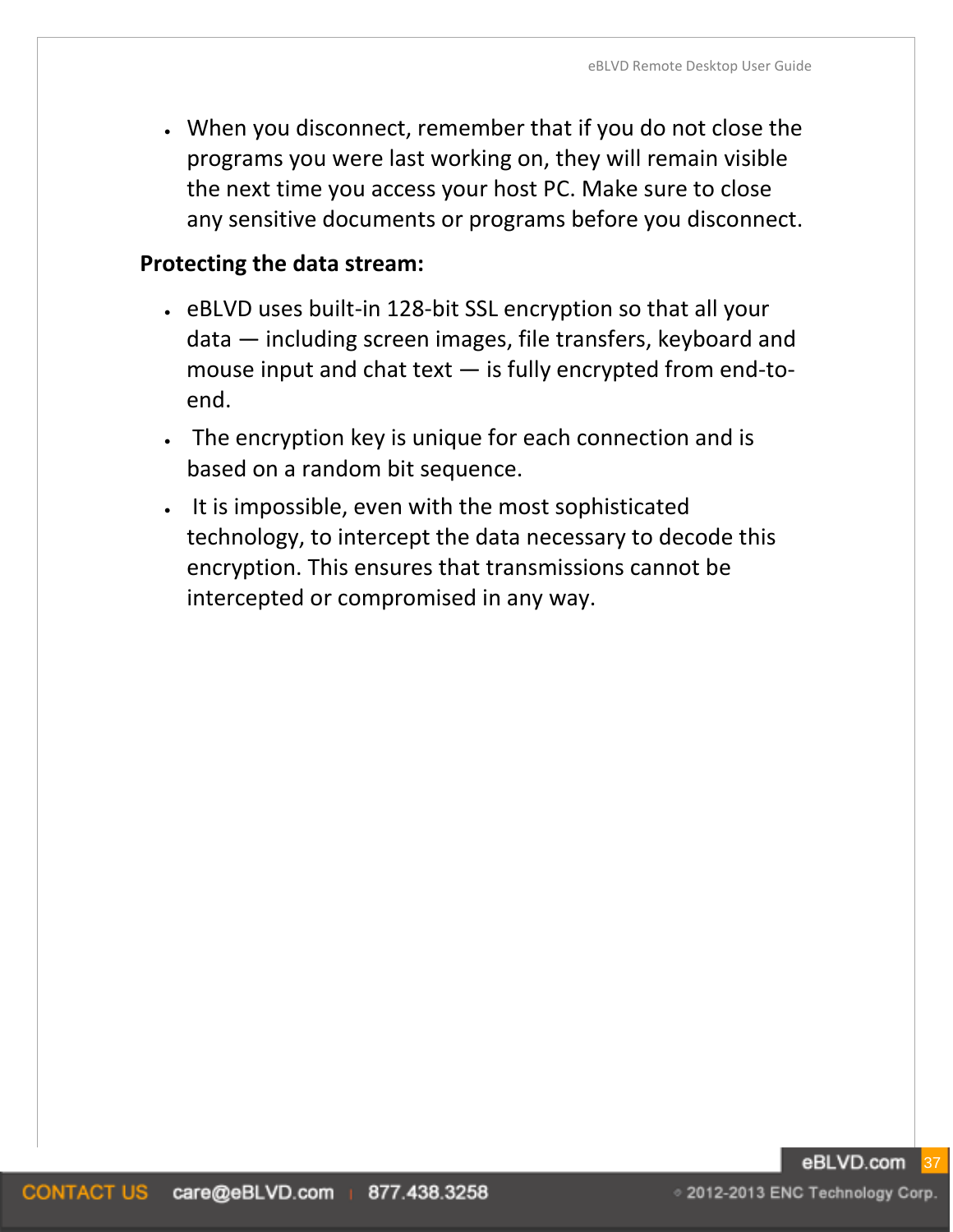• When you disconnect, remember that if you do not close the programs you were last working on, they will remain visible the next time you access your host PC. Make sure to close any sensitive documents or programs before you disconnect.

#### **Protecting the data stream:**

- eBLVD uses built-in 128-bit SSL encryption so that all your data — including screen images, file transfers, keyboard and mouse input and chat text — is fully encrypted from end-toend.
- The encryption key is unique for each connection and is based on a random bit sequence.
- It is impossible, even with the most sophisticated technology, to intercept the data necessary to decode this encryption. This ensures that transmissions cannot be intercepted or compromised in any way.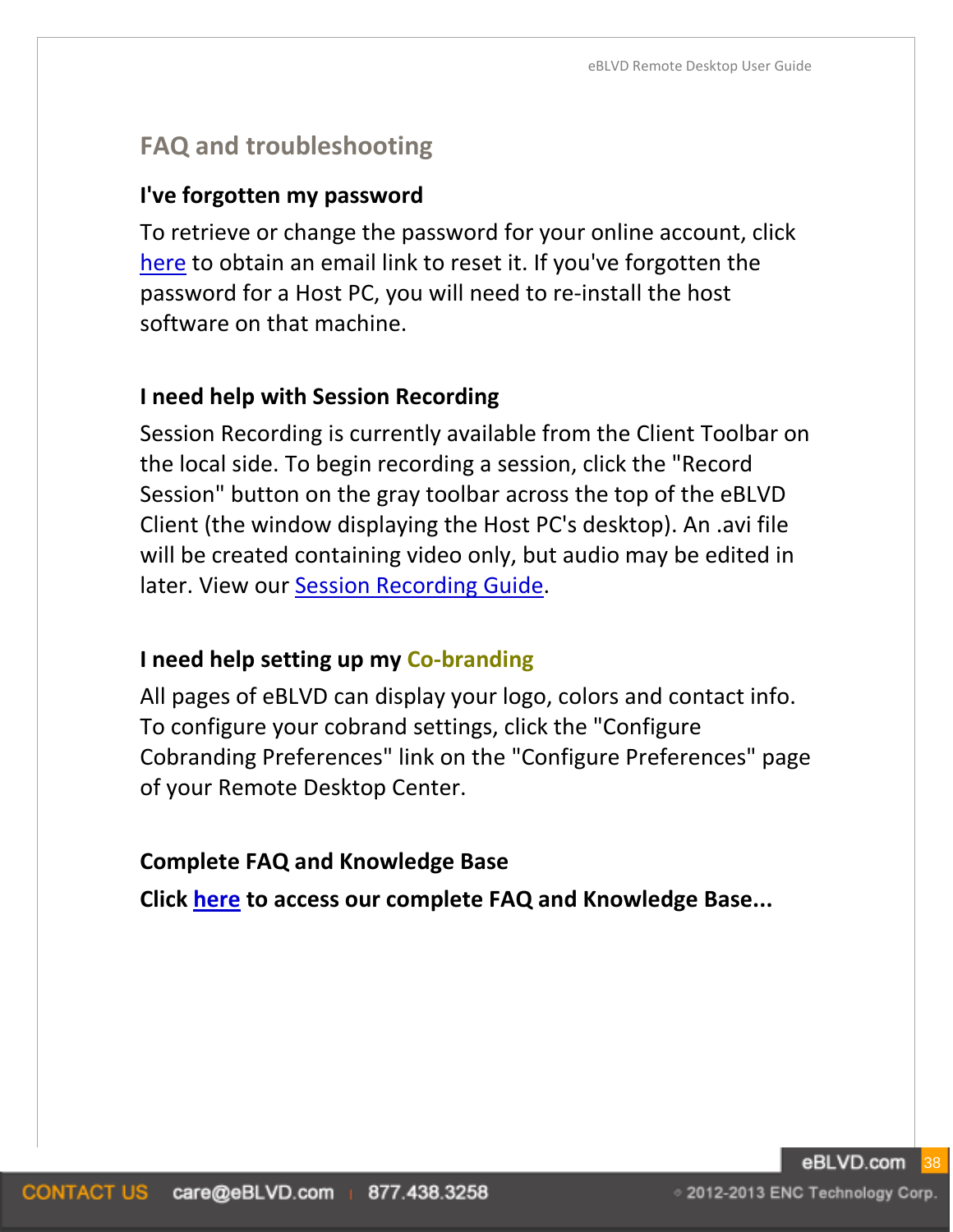# **FAQ and troubleshooting**

#### **I've forgotten my password**

To retrieve or change the password for your online account, click [here](https://www.eblvd.com/getPassword.aspx) to obtain an email link to reset it. If you've forgotten the password for a Host PC, you will need to re-install the host software on that machine.

#### **I need help with Session Recording**

Session Recording is currently available from the Client Toolbar on the local side. To begin recording a session, click the "Record Session" button on the gray toolbar across the top of the eBLVD Client (the window displaying the Host PC's desktop). An .avi file will be created containing video only, but audio may be edited in later. View our [Session Recording Guide.](http://www.eblvd.com/pdf/sessionrecord.pdf)

#### **I need help setting up my Co-branding**

All pages of eBLVD can display your logo, colors and contact info. To configure your cobrand settings, click the "Configure Cobranding Preferences" link on the "Configure Preferences" page of your Remote Desktop Center.

#### **Complete FAQ and Knowledge Base**

**Click [here](http://www.eblvd.com/faq.aspx?category=4) to access our complete FAQ and Knowledge Base...**

◎ 2012-2013 ENC Technology Corp.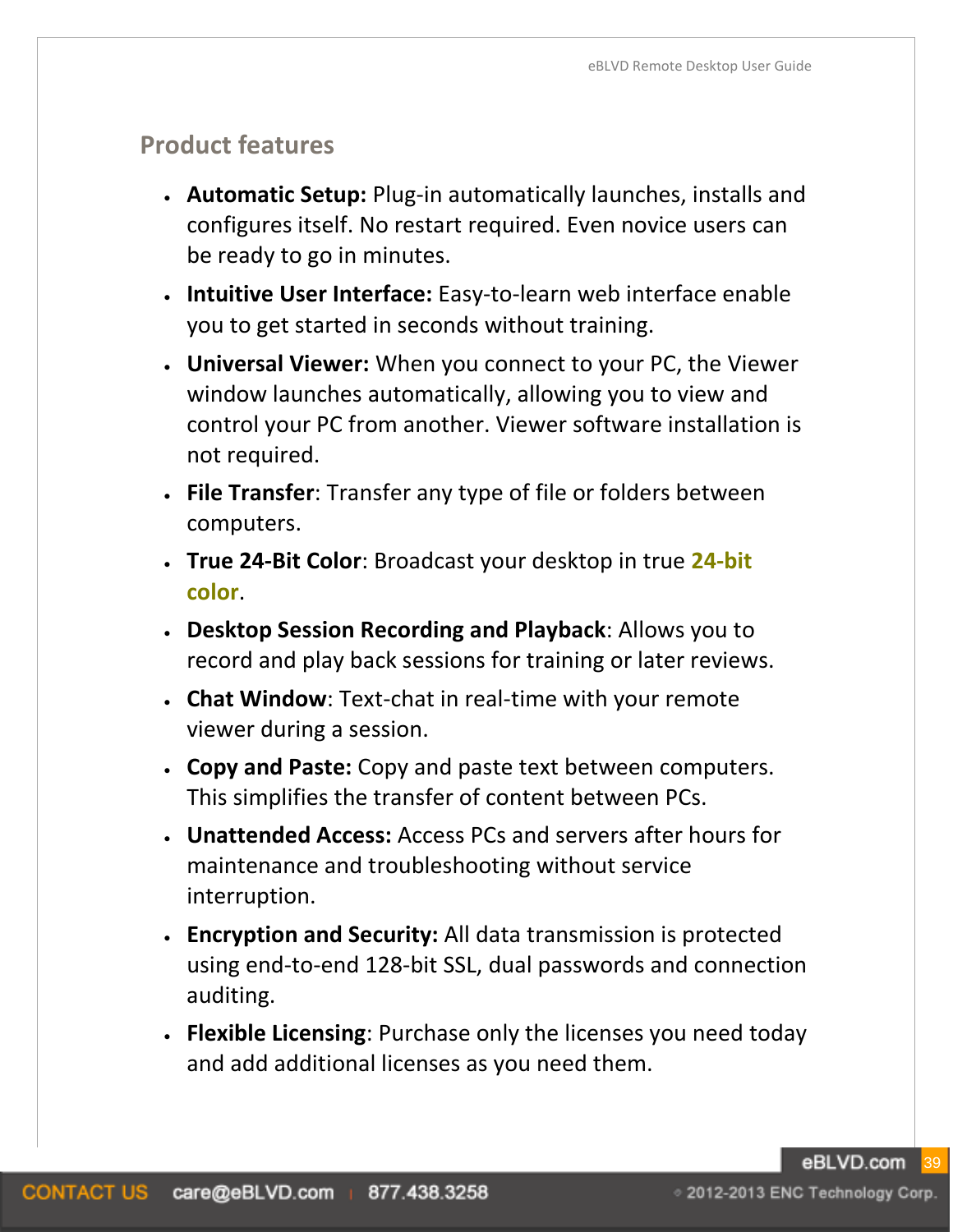# **Product features**

- **Automatic Setup:** Plug-in automatically launches, installs and configures itself. No restart required. Even novice users can be ready to go in minutes.
- **Intuitive User Interface:** Easy-to-learn web interface enable you to get started in seconds without training.
- **Universal Viewer:** When you connect to your PC, the Viewer window launches automatically, allowing you to view and control your PC from another. Viewer software installation is not required.
- **File Transfer**: Transfer any type of file or folders between computers.
- **True 24-Bit Color**: Broadcast your desktop in true **24-bit color**.
- **Desktop Session Recording and Playback**: Allows you to record and play back sessions for training or later reviews.
- **Chat Window**: Text-chat in real-time with your remote viewer during a session.
- **Copy and Paste:** Copy and paste text between computers. This simplifies the transfer of content between PCs.
- **Unattended Access:** Access PCs and servers after hours for maintenance and troubleshooting without service interruption.
- **Encryption and Security:** All data transmission is protected using end-to-end 128-bit SSL, dual passwords and connection auditing.
- **Flexible Licensing**: Purchase only the licenses you need today and add additional licenses as you need them.

eBLVD.com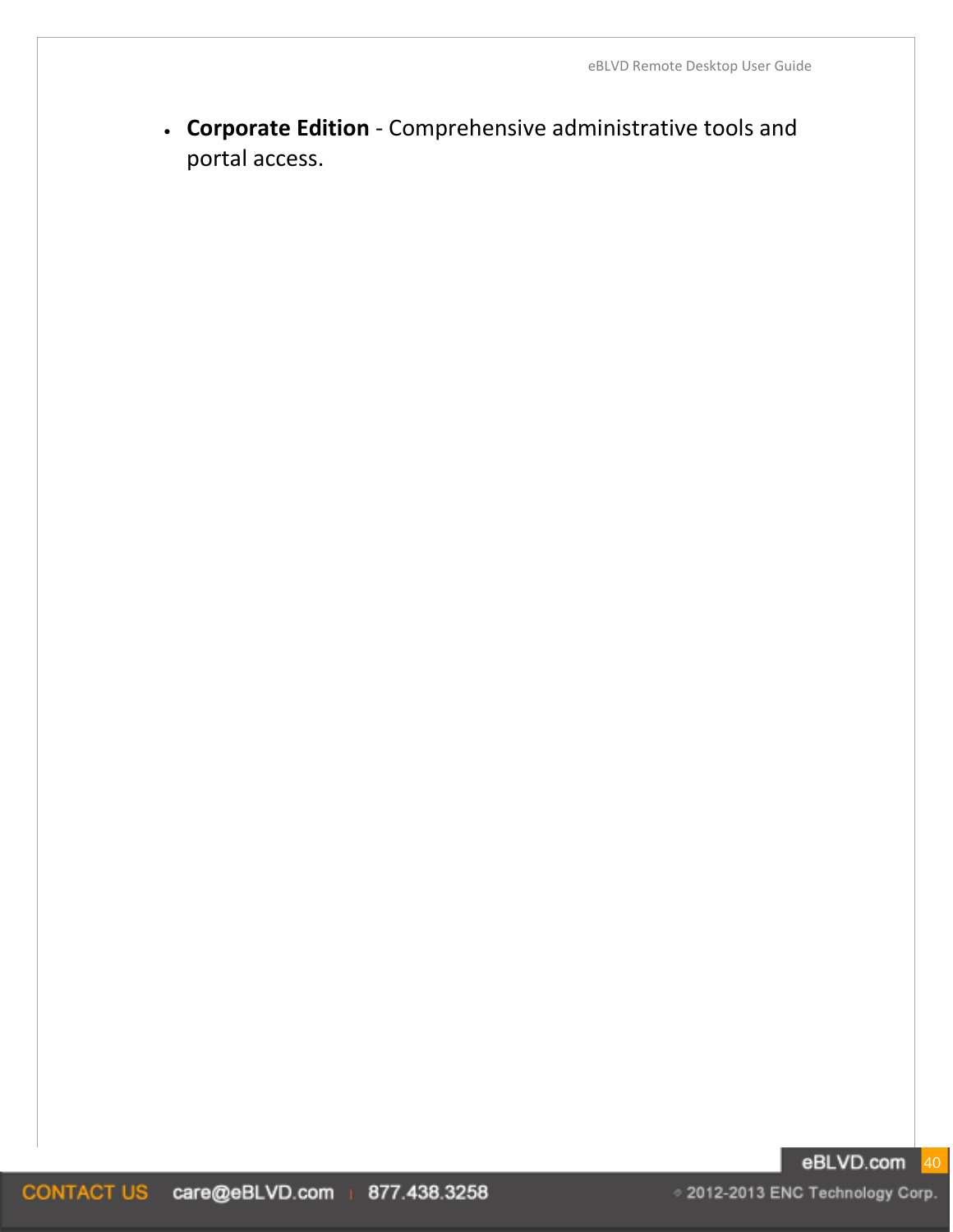• **Corporate Edition** - Comprehensive administrative tools and portal access.

#### eBLVD.com 40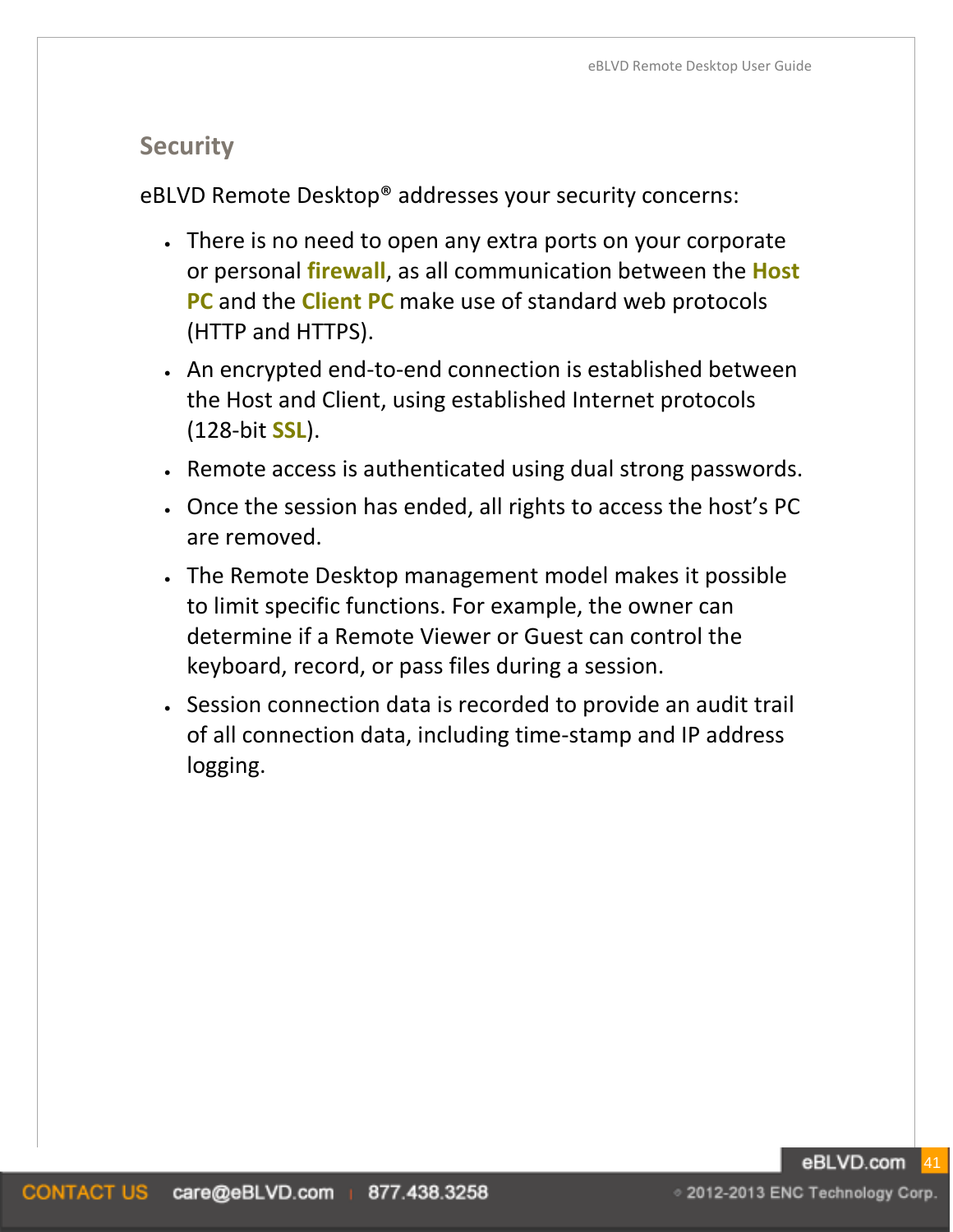# **Security**

eBLVD Remote Desktop® addresses your security concerns:

- There is no need to open any extra ports on your corporate or personal **firewall**, as all communication between the **Host PC** and the **Client PC** make use of standard web protocols (HTTP and HTTPS).
- An encrypted end-to-end connection is established between the Host and Client, using established Internet protocols (128-bit **SSL**).
- Remote access is authenticated using dual strong passwords.
- Once the session has ended, all rights to access the host's PC are removed.
- The Remote Desktop management model makes it possible to limit specific functions. For example, the owner can determine if a Remote Viewer or Guest can control the keyboard, record, or pass files during a session.
- Session connection data is recorded to provide an audit trail of all connection data, including time-stamp and IP address logging.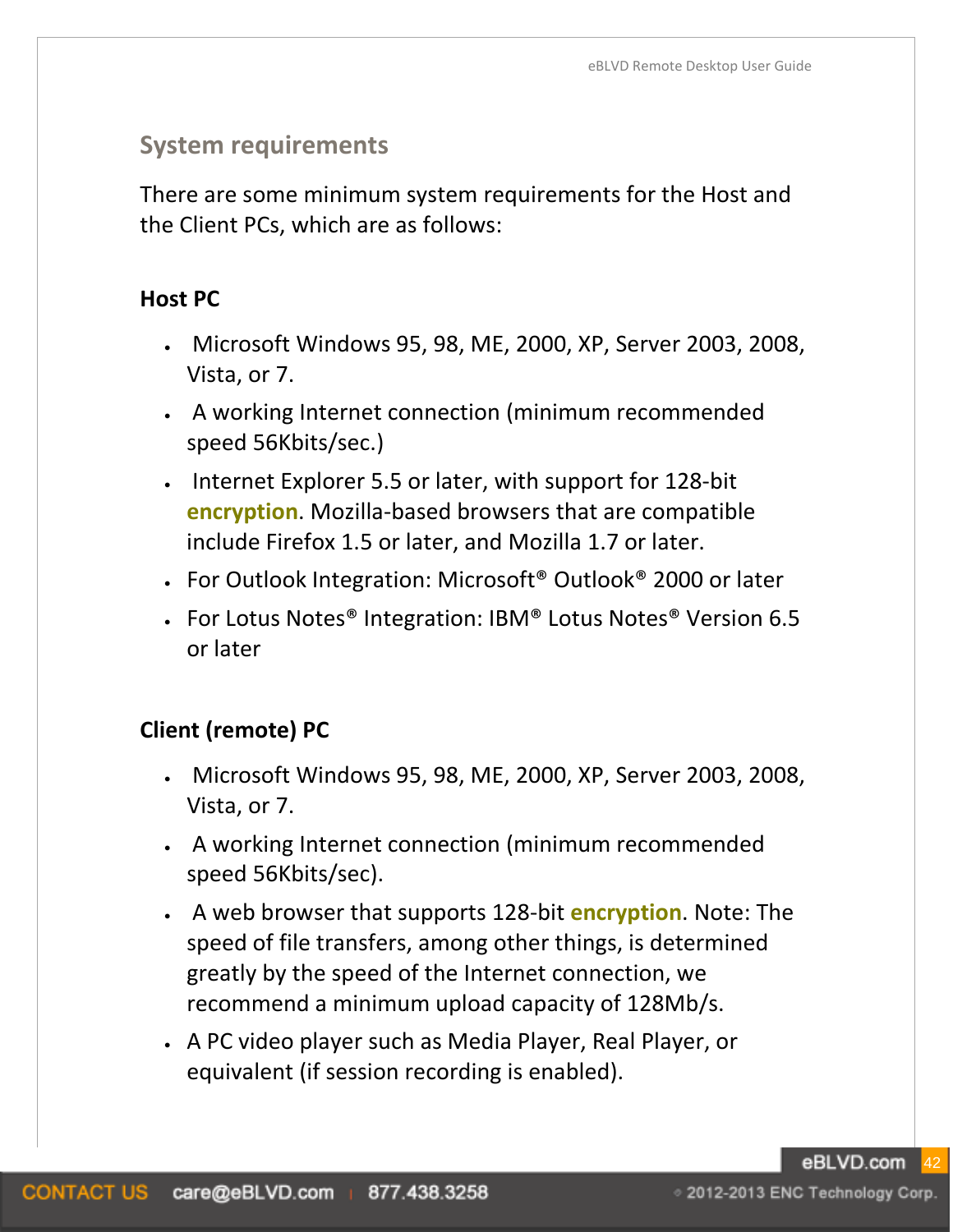# **System requirements**

There are some minimum system requirements for the Host and the Client PCs, which are as follows:

#### **Host PC**

- Microsoft Windows 95, 98, ME, 2000, XP, Server 2003, 2008, Vista, or 7.
- A working Internet connection (minimum recommended speed 56Kbits/sec.)
- Internet Explorer 5.5 or later, with support for 128-bit **encryption**. Mozilla-based browsers that are compatible include Firefox 1.5 or later, and Mozilla 1.7 or later.
- For Outlook Integration: Microsoft® Outlook® 2000 or later
- For Lotus Notes<sup>®</sup> Integration: IBM® Lotus Notes<sup>®</sup> Version 6.5 or later

# **Client (remote) PC**

- Microsoft Windows 95, 98, ME, 2000, XP, Server 2003, 2008, Vista, or 7.
- A working Internet connection (minimum recommended speed 56Kbits/sec).
- A web browser that supports 128-bit **encryption**. Note: The speed of file transfers, among other things, is determined greatly by the speed of the Internet connection, we recommend a minimum upload capacity of 128Mb/s.
- A PC video player such as Media Player, Real Player, or equivalent (if session recording is enabled).

eBLVD.com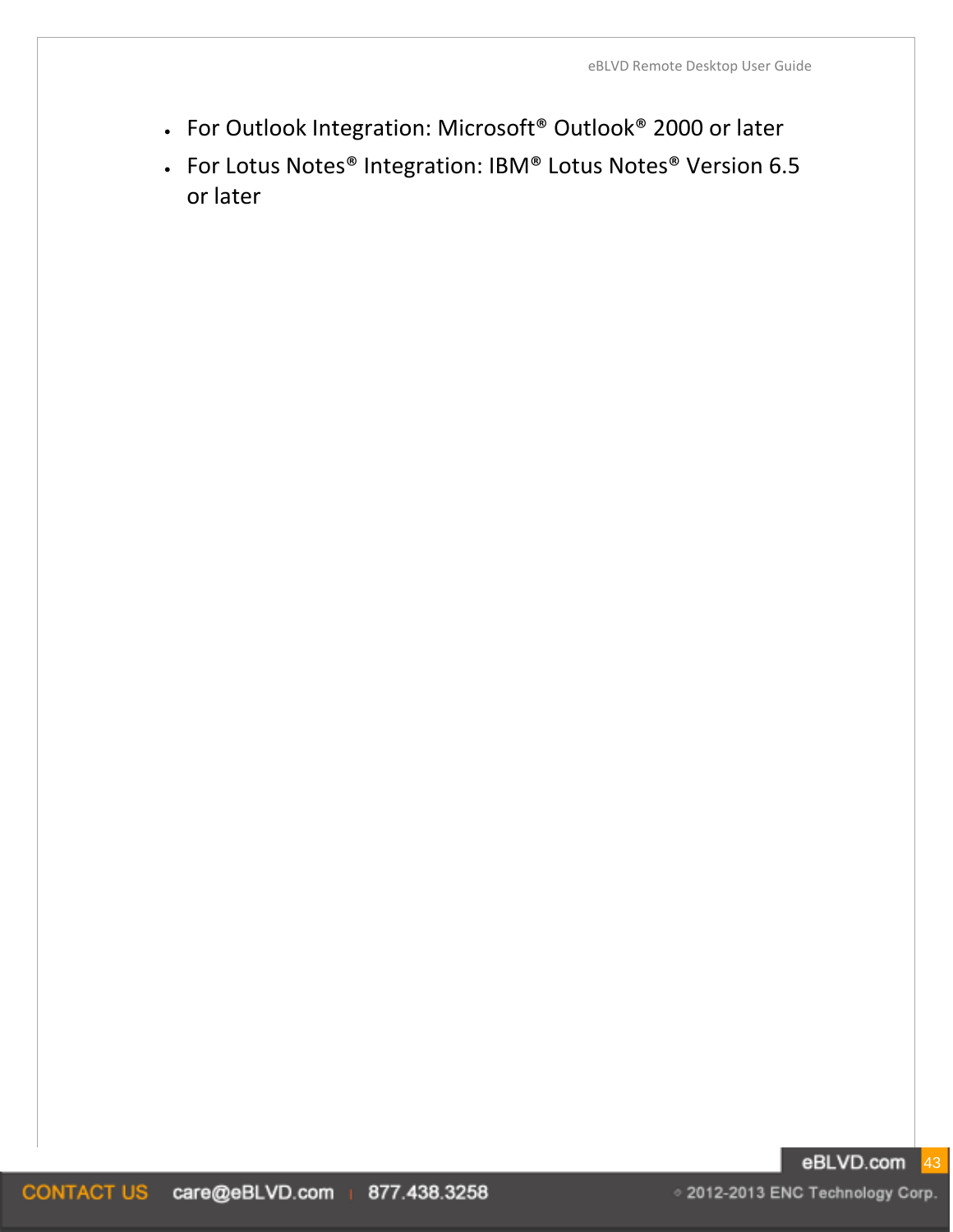- For Outlook Integration: Microsoft® Outlook® 2000 or later
- For Lotus Notes® Integration: IBM® Lotus Notes® Version 6.5 or later

#### eBLVD.com 43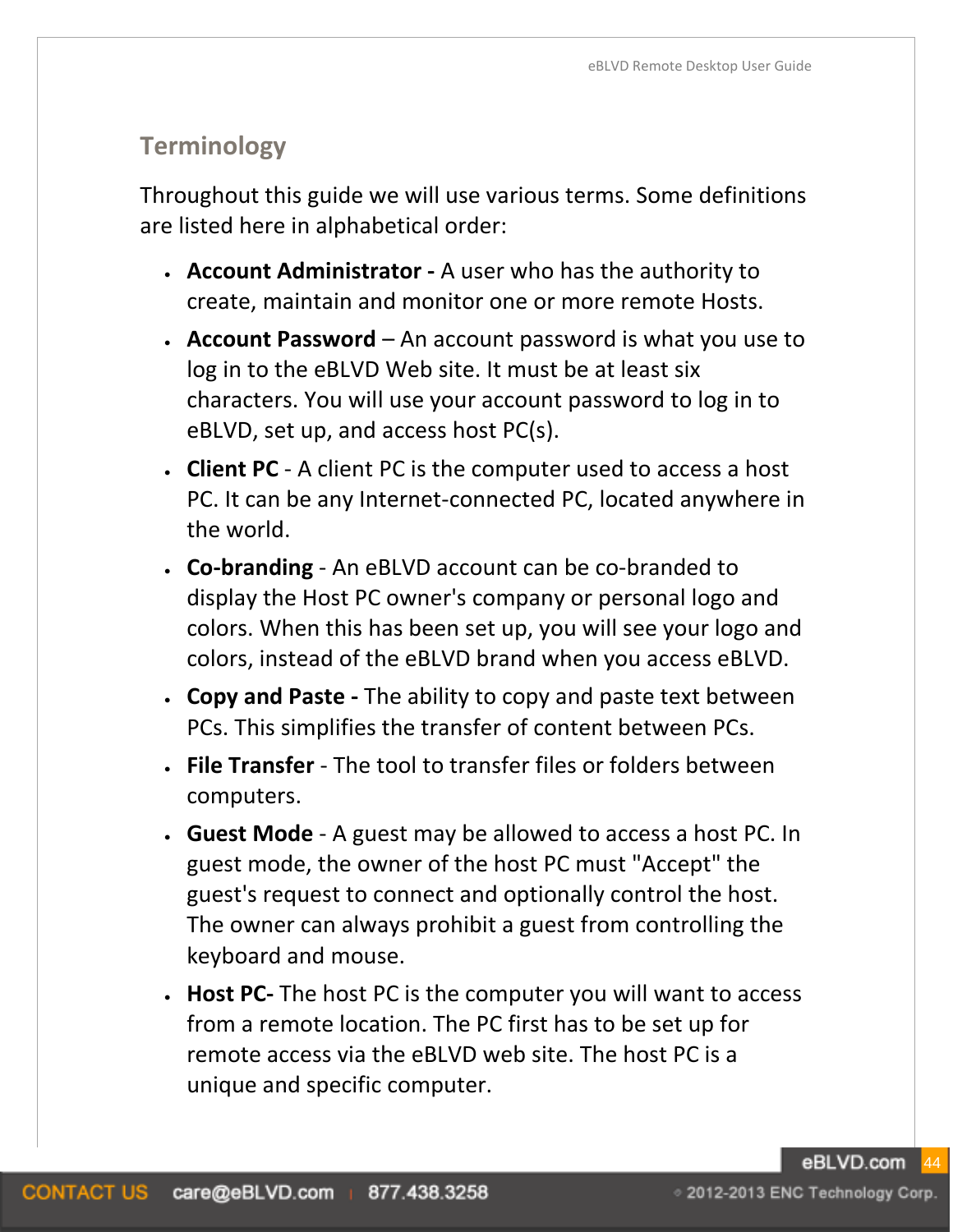# **Terminology**

Throughout this guide we will use various terms. Some definitions are listed here in alphabetical order:

- **Account Administrator -** A user who has the authority to create, maintain and monitor one or more remote Hosts.
- **Account Password** An account password is what you use to log in to the eBLVD Web site. It must be at least six characters. You will use your account password to log in to eBLVD, set up, and access host PC(s).
- **Client PC**  A client PC is the computer used to access a host PC. It can be any Internet-connected PC, located anywhere in the world.
- **Co-branding** An eBLVD account can be co-branded to display the Host PC owner's company or personal logo and colors. When this has been set up, you will see your logo and colors, instead of the eBLVD brand when you access eBLVD.
- **Copy and Paste -** The ability to copy and paste text between PCs. This simplifies the transfer of content between PCs.
- **File Transfer** The tool to transfer files or folders between computers.
- **Guest Mode** A guest may be allowed to access a host PC. In guest mode, the owner of the host PC must "Accept" the guest's request to connect and optionally control the host. The owner can always prohibit a guest from controlling the keyboard and mouse.
- **Host PC-** The host PC is the computer you will want to access from a remote location. The PC first has to be set up for remote access via the eBLVD web site. The host PC is a unique and specific computer.

eBLVD.com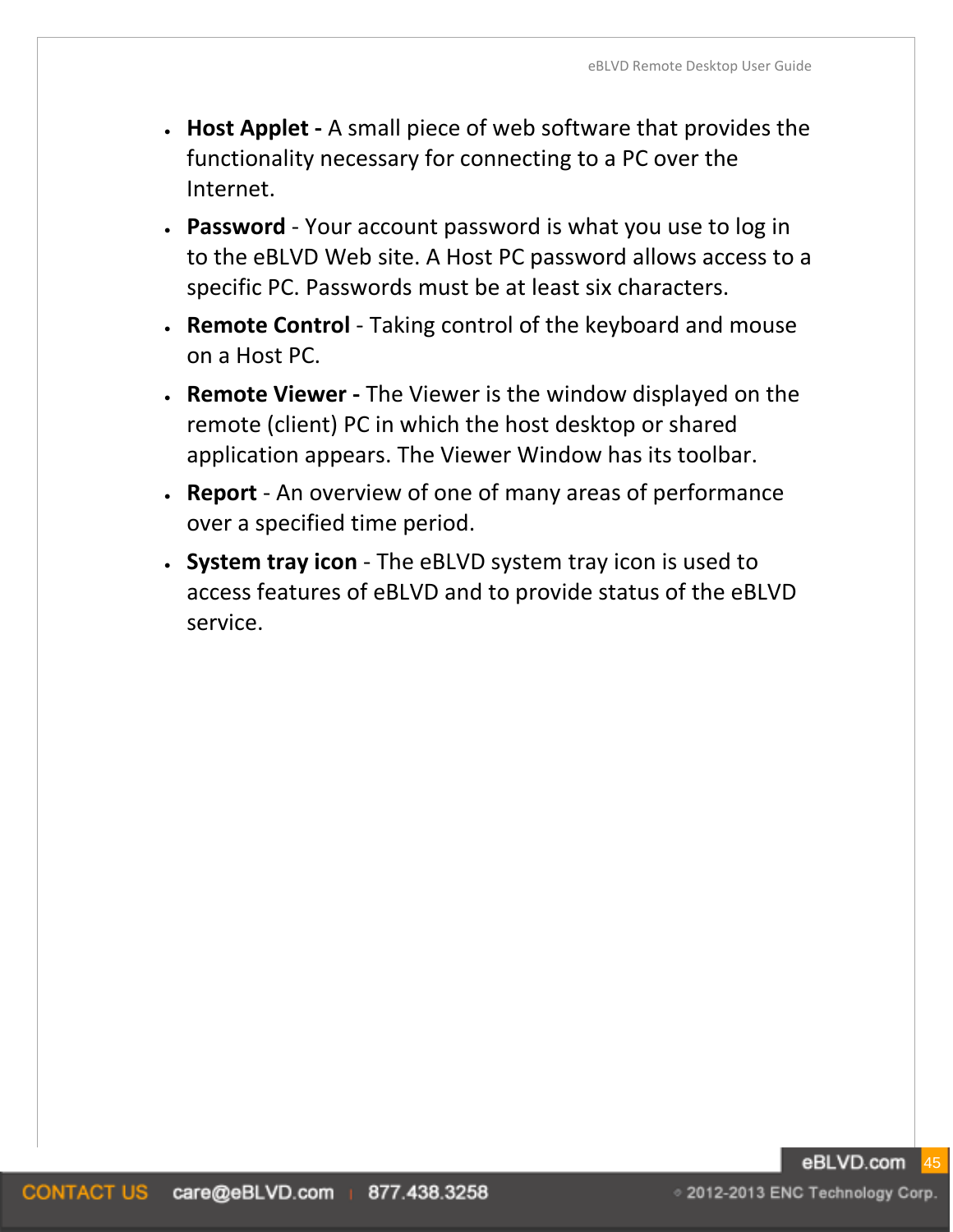- **Host Applet -** A small piece of web software that provides the functionality necessary for connecting to a PC over the Internet.
- **Password**  Your account password is what you use to log in to the eBLVD Web site. A Host PC password allows access to a specific PC. Passwords must be at least six characters.
- **Remote Control** Taking control of the keyboard and mouse on a Host PC.
- **Remote Viewer -** The Viewer is the window displayed on the remote (client) PC in which the host desktop or shared application appears. The Viewer Window has its toolbar.
- **Report**  An overview of one of many areas of performance over a specified time period.
- **System tray icon** The eBLVD system tray icon is used to access features of eBLVD and to provide status of the eBLVD service.